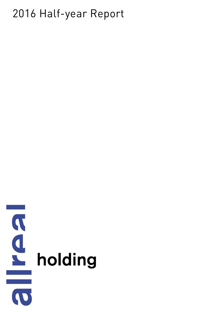# 2016 Half-year Report

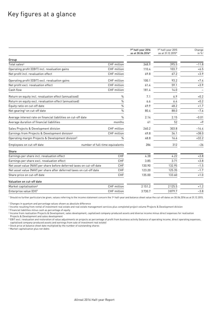# Key figures at a glance

|                                                                       |                                 | 1st half-year 2016<br>as at 30.06.2016* | 1st half-year 2015<br>as at 31.12.2015* | Change<br>in %1 |
|-----------------------------------------------------------------------|---------------------------------|-----------------------------------------|-----------------------------------------|-----------------|
| Group                                                                 |                                 |                                         |                                         |                 |
| Total sales <sup>2</sup>                                              | CHF million                     | 348.9                                   | 395.5                                   | $-11.8$         |
| Operating profit (EBIT) incl. revaluation gains                       | CHF million                     | 110.4                                   | 103.7                                   | $+6.5$          |
| Net profit incl. revaluation effect                                   | CHF million                     | 69.8                                    | 67.2                                    | $+3.9$          |
| Operating profit (EBIT) excl. revaluation gains                       | CHF million                     | 100.1                                   | 93.2                                    | $+7.4$          |
| Net profit excl. revaluation effect                                   | CHF million                     | 61.4                                    | 59.1                                    | $+3.9$          |
| Cash flow                                                             | CHF million                     | 181.4                                   | 14.0                                    |                 |
| Return on equity incl. revaluation effect (annualised)                | $\%$                            | 7.1                                     | 6.9                                     | $+0.2$          |
| Return on equity excl. revaluation effect (annualised)                | $\%$                            | 6.6                                     | 6.4                                     | $+0.2$          |
| Equity ratio on cut-off date                                          | $\%$                            | 49.9                                    | 48.2                                    | $+1.7$          |
| Net gearing <sup>3</sup> on cut-off date                              | $\frac{0}{0}$                   | 80.4                                    | 88.0                                    | $-7.6$          |
| Average interest rate on financial liabilities on cut-off date        | $\frac{0}{0}$                   | 2.14                                    | 2.15                                    | $-0.01$         |
| Average duration of financial liabilities                             | months                          | 61                                      | 52                                      | $+9$            |
| Sales Projects & Development division                                 | CHF million                     | 260.2                                   | 303.8                                   | $-14.4$         |
| Earnings from Projects & Development division <sup>4</sup>            | CHF million                     | 49.8                                    | 36.1                                    | $+38.0$         |
| Operating margin Projects & Development division <sup>5</sup>         | $\frac{0}{0}$                   | 48.8                                    | 16.6                                    | $+32.2$         |
| Employees on cut-off date                                             | number of full-time equivalents | 286                                     | 312                                     | $-26$           |
| Share                                                                 |                                 |                                         |                                         |                 |
| Earnings per share incl. revaluation effect                           | CHF                             | 4.38                                    | 4.22                                    | $+3.8$          |
| Earnings per share excl. revaluation effect                           | CHF                             | 3.85                                    | 3.71                                    | $+3.8$          |
| Net asset value (NAV) per share before deferred taxes on cut-off date | CHF                             | 130.90                                  | 132.95                                  | $-1.5$          |
| Net asset value (NAV) per share after deferred taxes on cut-off date  | CHF                             | 123.20                                  | 125.35                                  | $-1.7$          |
| Share price on cut-off date                                           | CHF                             | 135.00                                  | 133.60                                  | $+1.0$          |
| Valuation on cut-off date                                             |                                 |                                         |                                         |                 |
| Market capitalisation <sup>6</sup>                                    | CHF million                     | 2 1 5 1 . 2                             | 2 1 2 5 .5                              | $+1.2$          |
| Enterprise value (EV)7                                                | CHF million                     | 3730.7                                  | 3879.7                                  | $-3.8$          |

\* Should no further particulars be given, values referring to the income statement concern the 1st half-year and balance sheet value the cut-off dates on 30.06.2016 as at 31.12.2015.

<sup>1</sup> Changes in quantum and percentage values shown as absolute difference

<sup>2</sup> Income resulting from rental of investment real estate and real estate management services plus completed project volume Projects & Development division

<sup>3</sup> Financial liabilities minus cash as percentage of equity

<sup>4</sup> Income from realisation Projects & Development, sales development, capitalised company-produced assets and diverse income minus direct expenses for realisation Projects & Development and sales development

<sup>5</sup> EBIT excl. revaluation and restoration of value adjustments on projects as percentage of profit from business activity (balance of operating income, direct operating expenses, capitalised company-produced assets and earnings from sale of investment real estate)

<sup>6</sup> Stock price at balance sheet date multiplied by the number of outstanding shares

<sup>7</sup> Market capitalisation plus net debts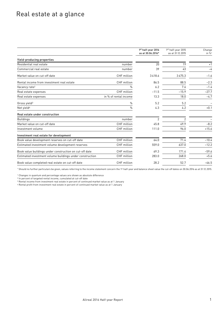# Real estate at a glance

|                                                          |                       | 1st half-year 2016<br>as at 30.06.2016* | 1st half-year 2015<br>as at 31.12.2015 | Change<br>in $\%$ <sup>1</sup> |
|----------------------------------------------------------|-----------------------|-----------------------------------------|----------------------------------------|--------------------------------|
| Yield-producing properties                               |                       |                                         |                                        |                                |
| Residential real estate                                  | number                | 20                                      | 19                                     | $+1$                           |
| Commercial real estate                                   | number                | 39                                      | 43                                     | $-4$                           |
| Market value on cut-off date                             | CHF million           | 3418.6                                  | 3475.3                                 | $-1.6$                         |
| Rental income from investment real estate                | CHF million           | 86.5                                    | 88.5                                   | $-2.3$                         |
| Vacancy rate <sup>2</sup>                                | $\frac{0}{n}$         | 6.2                                     | 7.6                                    | $-1.4$                         |
| Real estate expenses                                     | CHF million           | $-11.5$                                 | $-15.9$                                | $-27.7$                        |
| Real estate expenses                                     | in % of rental income | 13.3                                    | 18.0                                   | $-4.7$                         |
| Gross yield <sup>3</sup>                                 | $\%$                  | 5.2                                     | 5.2                                    |                                |
| Net yield <sup>4</sup>                                   | $\%$                  | 4.3                                     | 4.2                                    | $+0.1$                         |
| Real estate under construction                           |                       |                                         |                                        |                                |
| <b>Buildings</b>                                         | number                | $\overline{2}$                          | $\overline{2}$                         |                                |
| Market value on cut-off date                             | CHF million           | 45.8                                    | 49.9                                   | $-8.2$                         |
| Investment volume                                        | CHF million           | 111.0                                   | 96.0                                   | $+15.6$                        |
| Investment real estate for development                   |                       |                                         |                                        |                                |
| Book value development reserves on cut-off date          | CHF million           | 64.0                                    | 71.4                                   | $-10.4$                        |
| Estimated investment volume development reserves         | CHF million           | 559.0                                   | 637.0                                  | $-12.2$                        |
| Book value buildings under construction on cut-off date  | CHF million           | 69.3                                    | 171.4                                  | $-59.6$                        |
| Estimated investment volume buildings under construction | CHF million           | 283.0                                   | 268.0                                  | $+5.6$                         |
| Book value completed real estate on cut-off date         | CHF million           | 28.2                                    | 52.7                                   | $-46.5$                        |

\* Should no further particulars be given, values referring to the income statement concern the 1st half-year and balance sheet value the cut-off dates on 30.06.2016 as at 31.12.2015.

<sup>1</sup> Changes in quantum and percentage values are shown as absolute difference

<sup>2</sup> In percent of targeted rental income, cumulated at cut-off date

<sup>3</sup> Rental income from investment real estate in percent of continued market value as at 1 January

<sup>4</sup> Rental profit from investment real estate in percent of continued market value as at 1 January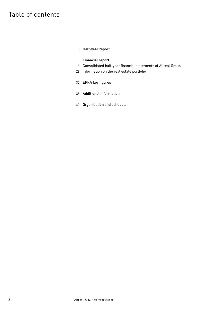# Table of contents

#### Half-year report

### Financial report

- Consolidated half-year financial statements of Allreal Group
- Information on the real estate portfolio
- EPRA key figures
- Additional information
- Organisation and schedule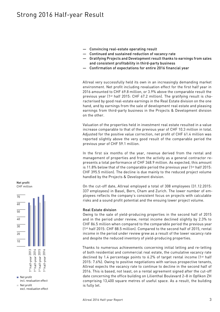- Convincing real-estate operating result
- Continued and sustained reduction of vacancy rate
- Gratifying Projects and Development result thanks to earnings from sales and consistent profitability in third-party business
- Confirmation of expectations for entire 2016 financial year

Allreal very successfully held its own in an increasingly demanding market environment. Net profit including revaluation effect for the first half year in 2016 amounted to CHF 69.8 million, or 3.9% above the comparable result the previous year (1st half 2015: CHF 67.2 million). The gratifying result is characterised by good real-estate earnings in the Real Estate division on the one hand, and by earnings from the sale of development real estate and pleasing earnings from third-party business in the Projects & Development division on the other.

Valuation of the properties held in investment real estate resulted in a value increase comparable to that of the previous year of CHF 10.3 million in total. Adjusted for the positive value correction, net profit of CHF 61.4 million was reported slightly above the very good result of the comparable period the previous year of CHF 59.1 million.

In the first six months of the year, revenue derived from the rental and management of properties and from the activity as a general contractor represents a total performance of CHF 348.9 million. As expected, this amount is 11.8% below that of the comparable period the previous year  $(1^{st}$  half 2015: CHF 395.5 million). The decline is due mainly to the reduced project volume handled by the Projects & Development division.

On the cut-off date, Allreal employed a total of 308 employees (31.12.2015: 337 employees) in Basel, Bern, Cham and Zurich. The lower number of employees reflects the company's consistent focus on projects with calculable risks and a sound profit potential and the ensuing lower project volume.

#### Real Estate division

Owing to the sale of yield-producing properties in the second half of 2015 and in the period under review, rental income declined slightly by 2.3% to CHF 86.5 million when compared to the comparable period the previous year (1st half 2015: CHF 88.5 million). Compared to the second half of 2015, rental income in the period under review grew as a result of the lower vacancy rate and despite the reduced inventory of yield-producing properties.

Thanks to numerous achievements concerning initial letting and re-letting of both residential and commercial real estate, the cumulative vacancy rate declined by 1.4 percentage points to 6.2% of target rental income (1st half 2015: 7.6%). Owing to positive negotiations with various prospective tenants, Allreal expects the vacancy rate to continue to decline in the second half of 2016. This is based, not least, on a rental agreement signed after the cut-off date concerning the office building on Lilienthal Boulevard 2–8 in Opfikon ZH comprising 13,400 square metres of useful space. As a result, the building is fully let.

#### Net profit CHF million



■ Net profit Net profit incl. revaluation effect

excl. revaluation effect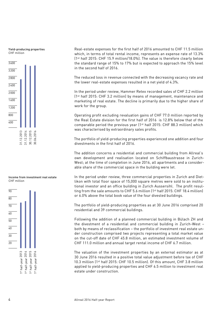



Income from investment real estate CHF million



Real-estate expenses for the first half of 2016 amounted to CHF 11.5 million which, in terms of total rental income, represents an expense rate of 13.3% (1st half 2015: CHF 15.9 million/18.0%). The value is therefore clearly below the standard range of 15% to 17% but is expected to approach the 15% level in the second half of 2016.

The reduced loss in revenue connected with the decreasing vacancy rate and the lower real-estate expenses resulted in a net yield of 4.3%.

In the period under review, Hammer Retex recorded sales of CHF 2.2 million (1st half 2015: CHF 3.2 million) by means of management, maintenance and marketing of real estate. The decline is primarily due to the higher share of work for the group.

Operating profit excluding revaluation gains of CHF 77.0 million reported by the Real Estate division for the first half of 2016 is 12.8% below that of the comparable period the previous year (1st half 2015: CHF 88.3 million) which was characterised by extraordinary sales profits.

The portfolio of yield-producing properties experienced one addition and four divestments in the first half of 2016.

The addition concerns a residential and commercial building from Allreal's own development and realisation located on Schiffbaustrasse in Zurich-West; at the time of completion in June 2016, all apartments and a considerable share of the commercial space in the building were let.

In the period under review, three commercial properties in Zurich and Dietlikon with total floor space of 15,000 square metres were sold to an institutional investor and an office building in Zurich Aussersihl. The profit resulting from the sale amounts to CHF 5.6 million (1st half 2015: CHF 18.4 million) or 6.0% above the total book value of the four divested buildings.

The portfolio of yield-producing properties as at 30 June 2016 comprised 20 residential and 39 commercial buildings.

Following the addition of a planned commercial building in Bülach ZH and the divestment of a residential and commercial building in Zurich-West – both by means of reclassification – the portfolio of investment real estate under construction comprised two projects representing a total market value on the cut-off date of CHF 45.8 million, an estimated investment volume of CHF 111.0 million and annual target rental income of CHF 6.7 million.

The valuation of the investment properties by an external estimator as at 30 June 2016 resulted in a positive total value adjustment before tax of CHF 10.3 million (1st half 2015: CHF 10.5 million). Of this amount, CHF 3.8 million applied to yield-producing properties and CHF 6.5 million to investment real estate under construction.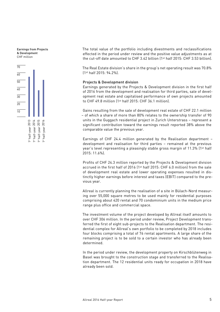Earnings from Projects & Development CHF million



The total value of the portfolio including divestments and reclassifications effected in the period under review and the positive value adjustments as at the cut-off date amounted to CHF 3.42 billion (1st half 2015: CHF 3.53 billion).

The Real Estate division's share in the group's net operating result was 70.8% (1st half 2015: 94.2%).

#### Projects & Development division

Earnings generated by the Projects & Development division in the first half of 2016 from the development and realisation for third parties, sale of development real estate and capitalised performance of own projects amounted to CHF 49.8 million (1st half 2015: CHF 36.1 million).

Gains resulting from the sale of development real estate of CHF 22.1 million – of which a share of more than 80% relates to the ownership transfer of 90 units in the Guggach residential project in Zurich Unterstrass – represent a significant contribution toward the earnings result reported 38% above the comparable value the previous year.

Earnings of CHF 24.4 million generated by the Realisation department – development and realisation for third parties – remained at the previous year's level representing a pleasingly stable gross margin of 11.3% (1<sup>st</sup> half 2015: 11.6%).

Profits of CHF 24.3 million reported by the Projects & Development division accrued in the first half of 2016 (1st half 2015: CHF 6.0 million) from the sale of development real estate and lower operating expenses resulted in distinctly higher earnings before interest and taxes (EBIT) compared to the previous year.

Allreal is currently planning the realisation of a site in Bülach-Nord measuring over 55,000 square metres to be used mainly for residential purposes comprising about 420 rental and 70 condominium units in the medium price range plus office and commercial space.

The investment volume of the project developed by Allreal itself amounts to over CHF 306 million. In the period under review, Project Development transferred the first of eight sub-projects to the Realisation department. The residential complex for Allreal's own portfolio to be completed by 2018 includes four blocks comprising a total of 76 rental apartments. A large share of the remaining project is to be sold to a certain investor who has already been determined.

In the period under review, the development property on Kirschblütenweg in Basel was brought to the construction stage and transferred to the Realisation department. The 12 residential units ready for occupation in 2018 have already been sold.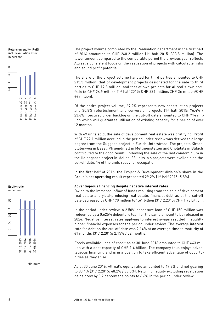Return on equity (RoE) incl. revaluation effect in percent



Equity ratio in percent



Minimum

The project volume completed by the Realisation department in the first half of 2016 amounted to CHF 260.2 million (1st half 2015: 303.8 million). The lower amount compared to the comparable period the previous year reflects Allreal's consistent focus on the realisation of projects with calculable risks and sound profit potential.

The share of the project volume handled for third parties amounted to CHF 215.5 million, that of development projects designated for the sale to third parties to CHF 17.8 million, and that of own projects for Allreal's own portfolio to CHF 26.9 million (1st half 2015: CHF 224 million/CHF 36 million/CHF 44 million).

Of the entire project volume, 69.2% represents new construction projects and 30.8% refurbishment and conversion projects (1st half 2015: 76.4% / 23.6%). Secured order backlog on the cut-off date amounted to CHF 714 million which will guarantee utilisation of existing capacity for a period of over 12 months.

With 49 units sold, the sale of development real estate was gratifying. Profit of CHF 22.1 million accrued in the period under review was derived to a large degree from the Guggach project in Zurich Unterstrass. The projects Kirschblütenweg in Basel, Pfruendmatt in Mettmenstetten and Cholplatz in Bülach contributed to the good result. Following the sale of the last condominium in the Holengasse project in Meilen, 38 units in 6 projects were available on the cut-off date, 14 of the units ready for occupation.

In the first half of 2016, the Project & Development division's share in the Group's net operating result represented 29.2% (1st half 2015: 5.8%).

#### Advantageous financing despite negative interest rates

Owing to the immense inflow of funds resulting from the sale of development real estate and yield-producing real estate, financial debt as at the cut-off date decreased by CHF 170 million to 1.61 billion (31.12.2015: CHF 1.78 billion).

In the period under review, a 2.50% debenture loan of CHF 150 million was redeemed by a 0.625% debenture loan for the same amount to be released in 2024. Negative interest rates applying to interest swaps resulted in slightly higher financial expenses for the period under review. The average interest rate for debt on the cut-off date was 2.14% at an average time to maturity of 61 months (31.12.2015: 2.15% / 52 months).

Freely available lines of credit as at 30 June 2016 amounted to CHF 643 million with a debt capacity of CHF 1.4 billion. The company thus enjoys advantageous financing and is in a position to take efficient advantage of opportunities as they arise.

As at 30 June 2016, Allreal's equity ratio amounted to 49.8% and net gearing to 80.4% (31.12.2015: 48.2% / 88.0%). Return on equity excluding revaluation gains grew by 0.2 percentage points to 6.6% in the period under review.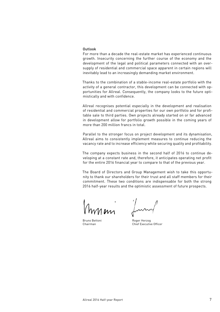#### Outlook

For more than a decade the real-estate market has experienced continuous growth. Insecurity concerning the further course of the economy and the development of the legal and political parameters connected with an oversupply of residential and commercial space apparent in certain regions will inevitably lead to an increasingly demanding market environment.

Thanks to the combination of a stable-income real-estate portfolio with the activity of a general contractor, this development can be connected with opportunities for Allreal. Consequently, the company looks to the future optimistically and with confidence.

Allreal recognises potential especially in the development and realisation of residential and commercial properties for our own portfolio and for profitable sale to third parties. Own projects already started on or far advanced in development allow for portfolio growth possible in the coming years of more than 200 million francs in total.

Parallel to the stronger focus on project development and its dynamisation, Allreal aims to consistently implement measures to continue reducing the vacancy rate and to increase efficiency while securing quality and profitability.

The company expects business in the second half of 2016 to continue developing at a constant rate and, therefore, it anticipates operating net profit for the entire 2016 financial year to compare to that of the previous year.

The Board of Directors and Group Management wish to take this opportunity to thank our shareholders for their trust and all staff members for their commitment. These two conditions are indispensable for both the strong 2016 half-year results and the optimistic assessment of future prospects.

When

Bruno Bettoni Chairman

Roger Herzog Chief Executive Officer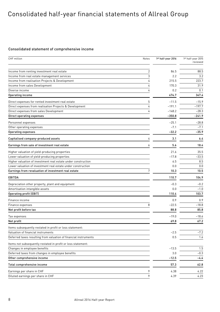# Consolidated half-year financial statements of Allreal Group

### Consolidated statement of comprehensive income

| CHF million                                                      | Notes | 1st half-year 2016 | 1st half-year 2015<br>reviewed |
|------------------------------------------------------------------|-------|--------------------|--------------------------------|
|                                                                  |       |                    | 88.5                           |
| Income from renting investment real estate                       | 2     | 86.5               |                                |
| Income from real estate management services                      | 3     | 2.2                | 3.2                            |
| Income from realisation Projects & Development                   | 4     | 215.5              | 223.7                          |
| Income from sales Development                                    | 4     | 170.3              | 31.9                           |
| Diverse income                                                   | 4     | 0.2                | 0.1                            |
| Operating income                                                 |       | 474.7              | 347.4                          |
| Direct expenses for rented investment real estate                | 5     | $-11.5$            | $-15.9$                        |
| Direct expenses from realisation Projects & Development          | 4     | $-191.1$           | $-197.7$                       |
| Direct expenses from sales Development                           | 4     | $-148.2$           | $-28.3$                        |
| Direct operating expenses                                        |       | $-350.8$           | -241.9                         |
| Personnel expenses                                               |       | $-25.1$            | $-28.8$                        |
| Other operating expenses                                         |       | $-7.1$             | $-7.1$                         |
| Operating expenses                                               |       | $-32.2$            | $-35.9$                        |
| Capitalised company-produced assets                              | 4     | 3.1                | 6.4                            |
| Earnings from sale of investment real estate                     | 6     | 5.6                | 18.4                           |
| Higher valuation of yield-producing properties                   |       | 21.6               | 35.5                           |
| Lower valuation of yield-producing properties                    |       | $-17.8$            | $-33.5$                        |
| Higher valuation of investment real estate under construction    |       | 6.5                | 8.5                            |
| Lower valuation of investment real estate under construction     |       | 0.0                | 0.0                            |
| Earnings from revaluation of investment real estate              | 7     | 10.3               | 10.5                           |
| <b>EBITDA</b>                                                    |       | 110.7              | 104.9                          |
| Depreciation other property, plant and equipment                 |       | $-0.3$             | $-0.2$                         |
| Amortisation intangible assets                                   |       | 0.0                | $-1.0$                         |
| <b>Operating profit (EBIT)</b>                                   |       | 110.4              | 103.7                          |
| Finance income                                                   |       | 0.9                | 0.9                            |
| Finance expenses                                                 | 8     | $-22.5$            | $-18.8$                        |
| Net profit before tax                                            |       | 88.8               | 85.8                           |
| Tax expenses                                                     |       | $-19.0$            | $-18.6$                        |
| Net profit                                                       |       | 69.8               | 67.2                           |
| Items subsequently restated in profit or loss statement:         |       |                    |                                |
| Valuation of financial instruments                               |       | $-2.5$             | $-7.2$                         |
| Deferred taxes resulting from valuation of financial instruments |       | 0.5                | 1.6                            |
| Items not subsequently restated in profit or loss statement:     |       |                    |                                |
| Changes in employee benefits                                     |       | $-13.5$            | 1.5                            |
| Deferred taxes from changes in employee benefits                 |       | 3.0                | $-0.3$                         |
| Other comprehensive income                                       |       | $-12.5$            | -4.4                           |
| Total comprehensive income                                       |       | 57.3               | 62.8                           |
| Earnings per share in CHF                                        | 9     | 4.38               | 4.22                           |
| Diluted earnings per share in CHF                                | 9     | 4.39               | 4.23                           |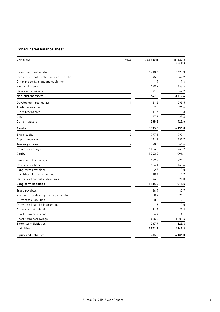# Consolidated balance sheet

| CHF million                               | Notes | 30.06.2016 | 31.12.2015<br>audited |
|-------------------------------------------|-------|------------|-----------------------|
|                                           |       |            |                       |
| Investment real estate                    | 10    | 3418.6     | 3475.3                |
| Investment real estate under construction | 10    | 45.8       | 49.9                  |
| Other property, plant and equipment       |       | 1.4        | 1.6                   |
| Financial assets                          |       | 139.7      | 143.4                 |
| Deferred tax assets                       |       | 41.5       | 42.2                  |
| Non-current assets                        |       | 3647.0     | 3712.4                |
| Development real estate                   | 11    | 161.5      | 295.5                 |
| Trade receivables                         |       | 87.6       | 96.4                  |
| Other receivables                         |       | 11.5       | 8.3                   |
| Cash                                      |       | 27.7       | 23.4                  |
| <b>Current assets</b>                     |       | 288.3      | 423.6                 |
| Assets                                    |       | 3935.3     | 4136.0                |
| Share capital                             | 12    | 797.1      | 797.1                 |
| Capital reserves                          |       | 141.1      | 232.7                 |
| Treasury shares                           | 12    | $-0.8$     | $-4.4$                |
| Retained earnings                         |       | 1026.0     | 968.7                 |
| Equity                                    |       | 1963.4     | 1994.1                |
| Long-term borrowings                      | 13    | 922.2      | 774.1                 |
| Deferred tax liabilities                  |       | 164.1      | 163.4                 |
| Long-term provisions                      |       | 2.7        | 3.0                   |
| Liabilities staff pension fund            |       | 18.4       | 4.2                   |
| Derivative financial instruments          |       | 76.6       | 71.8                  |
| Long-term liabilities                     |       | 1184.0     | 1016.5                |
| Trade payables                            |       | 66.4       | 62.7                  |
| Payments for development real estate      |       | 8.9        | 24.1                  |
| Current tax liabilities                   |       | 0.0        | 9.1                   |
| Derivative financial instruments          |       | 1.8        | 0.0                   |
| Other current liabilities                 |       | 21.4       | 21.9                  |
| Short-term provisions                     |       | 4.4        | 4.1                   |
| Short-term borrowings                     | 13    | 685.0      | 1003.5                |
| Short-term liabilities                    |       | 787.9      | 1125.4                |
| Liabilities                               |       | 1971.9     | 2141.9                |
| <b>Equity and liabilities</b>             |       | 3935.3     | 4136.0                |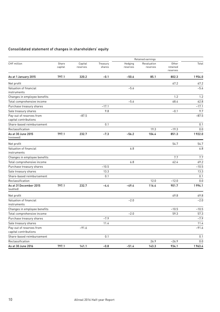# Consolidated statement of changes in shareholders' equity

|                                                      |                  |                     |                    |                     | Retained earnings       |                               |         |
|------------------------------------------------------|------------------|---------------------|--------------------|---------------------|-------------------------|-------------------------------|---------|
| CHF million                                          | Share<br>capital | Capital<br>reserves | Treasury<br>shares | Hedging<br>reserves | Revaluation<br>reserves | Other<br>retained<br>reserves | Total   |
| As at 1 January 2015                                 | 797.1            | 320.2               | $-0.1$             | $-50.6$             | 85.1                    | 802.3                         | 1954.0  |
| Net profit                                           |                  |                     |                    |                     |                         | 67.2                          | 67.2    |
| Valuation of financial<br>instruments                |                  |                     |                    | $-5.6$              |                         |                               | $-5.6$  |
| Changes in employee benefits                         |                  |                     |                    |                     |                         | 1.2                           | 1.2     |
| Total comprehensive income                           |                  |                     |                    | $-5.6$              |                         | 68.4                          | 62.8    |
| Purchase treasury shares                             |                  |                     | $-17.1$            |                     |                         |                               | $-17.1$ |
| Sale treasury shares                                 |                  |                     | 9.8                |                     |                         | $-0.1$                        | 9.7     |
| Pay-out of reserves from<br>capital contributions    |                  | $-87.5$             |                    |                     |                         |                               | $-87.5$ |
| Share-based reimbursement                            |                  |                     | 0.1                |                     |                         |                               | 0.1     |
| Reclassification                                     |                  |                     |                    |                     | 19.3                    | $-19.3$                       | 0.0     |
| As at 30 June 2015<br><i><u><b>freviewed</b></u></i> | 797.1            | 232.7               | $-7.3$             | $-56.2$             | 104.4                   | 851.3                         | 1922.0  |
| Net profit                                           |                  |                     |                    |                     |                         | 54.7                          | 54.7    |
| Valuation of financial                               |                  |                     |                    | 6.8                 |                         |                               | 6.8     |
| instruments                                          |                  |                     |                    |                     |                         |                               |         |
| Changes in employee benefits                         |                  |                     |                    |                     |                         | 7.7                           | 7.7     |
| Total comprehensive income                           |                  |                     |                    | 6.8                 |                         | 62.4                          | 69.2    |
| Purchase treasury shares                             |                  |                     | $-10.5$            |                     |                         |                               | $-10.5$ |
| Sale treasury shares                                 |                  |                     | 13.3               |                     |                         |                               | 13.3    |
| Share-based reimbursement                            |                  |                     | 0.1                |                     |                         |                               | 0.1     |
| Reclassification                                     |                  |                     |                    |                     | 12.0                    | $-12.0$                       | 0.0     |
| As at 31 December 2015<br>(audited)                  | 797.1            | 232.7               | $-4.4$             | $-49.4$             | 116.4                   | 901.7                         | 1994.1  |
| Net profit                                           |                  |                     |                    |                     |                         | 69.8                          | 69.8    |
| Valuation of financial<br>instruments                |                  |                     |                    | $-2.0$              |                         |                               | $-2.0$  |
| Changes in employee benefits                         |                  |                     |                    |                     |                         | $-10.5$                       | $-10.5$ |
| Total comprehensive income                           |                  |                     |                    | $-2.0$              |                         | 59.3                          | 57.3    |
| Purchase treasury shares                             |                  |                     | $-7.9$             |                     |                         |                               | $-7.9$  |
| Sale treasury shares                                 |                  |                     | 11.4               |                     |                         |                               | 11.4    |
| Pay-out of reserves from                             |                  | $-91.6$             |                    |                     |                         |                               | $-91.6$ |
| capital contributions                                |                  |                     |                    |                     |                         |                               |         |
| Share-based reimbursement                            |                  |                     | 0.1                |                     |                         |                               | 0.1     |
| Reclassification                                     |                  |                     |                    |                     | 26.9                    | $-26.9$                       | 0.0     |
| As at 30 June 2016                                   | 797.1            | 141.1               | $-0.8$             | $-51.4$             | 143.3                   | 934.1                         | 1963.4  |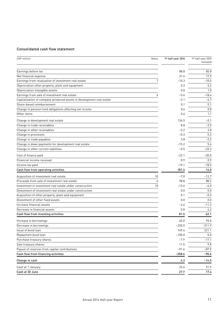# Consolidated cash flow statement

| 85.8<br>Earnings before tax<br>88.8<br>17.9<br>Net financial expense<br>21.6<br>$-10.5$<br>Earnings from revaluation of investment real estate<br>$-10.3$<br>0.3<br>0.2<br>Depreciation other property, plant and equipment<br>Depreciation intangible assets<br>0.0<br>Earnings from sale of investment real estate<br>$-5.6$<br>$-2.1$<br>Capitalisation of company-produced assets in development real estate<br>0.1<br>Share-based reimbursement<br>Change in pension fund obligations affecting net income<br>0.6<br>0.4<br>134.5<br>Change in trade receivables<br>8.8<br>$-3.2$<br>$-0.3$<br>3.8<br>$-15.2$<br>$-0.5$<br>$-22.1$<br>0.9<br>$-19.1$<br>181.4<br>$-7.0$<br>10<br>98.8<br>6<br>$-13.6$<br>Investment in investment real estate under construction<br>10<br>0.0<br>0.1<br>0.0<br>$-2.6$<br>Decrease in financial assets<br>5.8<br>81.5<br>65.0<br>$-235.0$<br>149.4<br>$-150.0$<br>$-7.9$<br>11.5<br>Payout of reserves from capital contributions<br>$-91.6$<br>$-258.6$<br>4.3<br>23.4<br>Cash at 30 June<br>27.7 | CHF million<br>Notes                                    | 1st half-year 2016 | 1st half-year 2015<br>reviewed |
|----------------------------------------------------------------------------------------------------------------------------------------------------------------------------------------------------------------------------------------------------------------------------------------------------------------------------------------------------------------------------------------------------------------------------------------------------------------------------------------------------------------------------------------------------------------------------------------------------------------------------------------------------------------------------------------------------------------------------------------------------------------------------------------------------------------------------------------------------------------------------------------------------------------------------------------------------------------------------------------------------------------------------------------|---------------------------------------------------------|--------------------|--------------------------------|
|                                                                                                                                                                                                                                                                                                                                                                                                                                                                                                                                                                                                                                                                                                                                                                                                                                                                                                                                                                                                                                        |                                                         |                    |                                |
|                                                                                                                                                                                                                                                                                                                                                                                                                                                                                                                                                                                                                                                                                                                                                                                                                                                                                                                                                                                                                                        |                                                         |                    |                                |
|                                                                                                                                                                                                                                                                                                                                                                                                                                                                                                                                                                                                                                                                                                                                                                                                                                                                                                                                                                                                                                        |                                                         |                    |                                |
|                                                                                                                                                                                                                                                                                                                                                                                                                                                                                                                                                                                                                                                                                                                                                                                                                                                                                                                                                                                                                                        |                                                         |                    |                                |
|                                                                                                                                                                                                                                                                                                                                                                                                                                                                                                                                                                                                                                                                                                                                                                                                                                                                                                                                                                                                                                        |                                                         |                    | 1.0                            |
|                                                                                                                                                                                                                                                                                                                                                                                                                                                                                                                                                                                                                                                                                                                                                                                                                                                                                                                                                                                                                                        |                                                         |                    | $-18.4$                        |
|                                                                                                                                                                                                                                                                                                                                                                                                                                                                                                                                                                                                                                                                                                                                                                                                                                                                                                                                                                                                                                        |                                                         |                    | $-4.7$                         |
|                                                                                                                                                                                                                                                                                                                                                                                                                                                                                                                                                                                                                                                                                                                                                                                                                                                                                                                                                                                                                                        |                                                         |                    | 0.1                            |
|                                                                                                                                                                                                                                                                                                                                                                                                                                                                                                                                                                                                                                                                                                                                                                                                                                                                                                                                                                                                                                        |                                                         |                    | 0.8                            |
|                                                                                                                                                                                                                                                                                                                                                                                                                                                                                                                                                                                                                                                                                                                                                                                                                                                                                                                                                                                                                                        | Other items                                             |                    | 1.1                            |
|                                                                                                                                                                                                                                                                                                                                                                                                                                                                                                                                                                                                                                                                                                                                                                                                                                                                                                                                                                                                                                        | Change in development real estate                       |                    | $-0.1$                         |
|                                                                                                                                                                                                                                                                                                                                                                                                                                                                                                                                                                                                                                                                                                                                                                                                                                                                                                                                                                                                                                        |                                                         |                    | $-3.5$                         |
|                                                                                                                                                                                                                                                                                                                                                                                                                                                                                                                                                                                                                                                                                                                                                                                                                                                                                                                                                                                                                                        | Change in other receivables                             |                    | 2.8                            |
|                                                                                                                                                                                                                                                                                                                                                                                                                                                                                                                                                                                                                                                                                                                                                                                                                                                                                                                                                                                                                                        | Change in provisions                                    |                    | 0.2                            |
|                                                                                                                                                                                                                                                                                                                                                                                                                                                                                                                                                                                                                                                                                                                                                                                                                                                                                                                                                                                                                                        | Change in trade payables                                |                    | $-3.2$                         |
|                                                                                                                                                                                                                                                                                                                                                                                                                                                                                                                                                                                                                                                                                                                                                                                                                                                                                                                                                                                                                                        | Change in down payments for development real estate     |                    | 5.4                            |
|                                                                                                                                                                                                                                                                                                                                                                                                                                                                                                                                                                                                                                                                                                                                                                                                                                                                                                                                                                                                                                        | Change in other current liabilities                     |                    | $-23.3$                        |
|                                                                                                                                                                                                                                                                                                                                                                                                                                                                                                                                                                                                                                                                                                                                                                                                                                                                                                                                                                                                                                        | Cost of finance paid                                    |                    | $-20.0$                        |
|                                                                                                                                                                                                                                                                                                                                                                                                                                                                                                                                                                                                                                                                                                                                                                                                                                                                                                                                                                                                                                        | Financial income received                               |                    | 0.9                            |
|                                                                                                                                                                                                                                                                                                                                                                                                                                                                                                                                                                                                                                                                                                                                                                                                                                                                                                                                                                                                                                        | Income tax paid                                         |                    | $-18.5$                        |
|                                                                                                                                                                                                                                                                                                                                                                                                                                                                                                                                                                                                                                                                                                                                                                                                                                                                                                                                                                                                                                        | Cash flow from operating activities                     |                    | 14.0                           |
|                                                                                                                                                                                                                                                                                                                                                                                                                                                                                                                                                                                                                                                                                                                                                                                                                                                                                                                                                                                                                                        | Acquisition of investment real estate                   |                    | $-12.7$                        |
|                                                                                                                                                                                                                                                                                                                                                                                                                                                                                                                                                                                                                                                                                                                                                                                                                                                                                                                                                                                                                                        | Proceeds from sale of investment real estate            |                    | 88.2                           |
|                                                                                                                                                                                                                                                                                                                                                                                                                                                                                                                                                                                                                                                                                                                                                                                                                                                                                                                                                                                                                                        |                                                         |                    | $-6.0$                         |
|                                                                                                                                                                                                                                                                                                                                                                                                                                                                                                                                                                                                                                                                                                                                                                                                                                                                                                                                                                                                                                        | Divestment of investment real estate under construction |                    | 0.0                            |
|                                                                                                                                                                                                                                                                                                                                                                                                                                                                                                                                                                                                                                                                                                                                                                                                                                                                                                                                                                                                                                        | Acquisition of other property, plant and equipment      |                    | $-0.3$                         |
|                                                                                                                                                                                                                                                                                                                                                                                                                                                                                                                                                                                                                                                                                                                                                                                                                                                                                                                                                                                                                                        | Divestment of other fixed assets                        |                    | 0.0                            |
|                                                                                                                                                                                                                                                                                                                                                                                                                                                                                                                                                                                                                                                                                                                                                                                                                                                                                                                                                                                                                                        | Increase financial assets                               |                    | -11.3                          |
|                                                                                                                                                                                                                                                                                                                                                                                                                                                                                                                                                                                                                                                                                                                                                                                                                                                                                                                                                                                                                                        |                                                         |                    | 4.2                            |
|                                                                                                                                                                                                                                                                                                                                                                                                                                                                                                                                                                                                                                                                                                                                                                                                                                                                                                                                                                                                                                        | Cash flow from investing activities                     |                    | 62.1                           |
|                                                                                                                                                                                                                                                                                                                                                                                                                                                                                                                                                                                                                                                                                                                                                                                                                                                                                                                                                                                                                                        | Increase in borrowings                                  |                    | 95.0                           |
|                                                                                                                                                                                                                                                                                                                                                                                                                                                                                                                                                                                                                                                                                                                                                                                                                                                                                                                                                                                                                                        | Decrease in borrowings                                  |                    | $-311.9$                       |
|                                                                                                                                                                                                                                                                                                                                                                                                                                                                                                                                                                                                                                                                                                                                                                                                                                                                                                                                                                                                                                        | Issue of bond loan                                      |                    | 221.1                          |
|                                                                                                                                                                                                                                                                                                                                                                                                                                                                                                                                                                                                                                                                                                                                                                                                                                                                                                                                                                                                                                        | Repayment bond loan                                     |                    | $0.0\,$                        |
|                                                                                                                                                                                                                                                                                                                                                                                                                                                                                                                                                                                                                                                                                                                                                                                                                                                                                                                                                                                                                                        | Purchase treasury shares                                |                    | $-17.1$                        |
|                                                                                                                                                                                                                                                                                                                                                                                                                                                                                                                                                                                                                                                                                                                                                                                                                                                                                                                                                                                                                                        | Sale treasury shares                                    |                    | 9.8                            |
|                                                                                                                                                                                                                                                                                                                                                                                                                                                                                                                                                                                                                                                                                                                                                                                                                                                                                                                                                                                                                                        |                                                         |                    | $-87.5$                        |
|                                                                                                                                                                                                                                                                                                                                                                                                                                                                                                                                                                                                                                                                                                                                                                                                                                                                                                                                                                                                                                        | Cash flow from financing activities                     |                    | $-90.6$                        |
|                                                                                                                                                                                                                                                                                                                                                                                                                                                                                                                                                                                                                                                                                                                                                                                                                                                                                                                                                                                                                                        | Change in cash                                          |                    | $-14.5$                        |
|                                                                                                                                                                                                                                                                                                                                                                                                                                                                                                                                                                                                                                                                                                                                                                                                                                                                                                                                                                                                                                        | Cash at 1 January                                       |                    | 31.9                           |
|                                                                                                                                                                                                                                                                                                                                                                                                                                                                                                                                                                                                                                                                                                                                                                                                                                                                                                                                                                                                                                        |                                                         |                    | 17.4                           |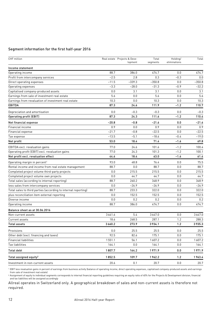#### Segment information for the first half-year 2016

| CHF million                                                    |         | Real estate Projects & Deve-<br>lopment | Total<br>segments | Holding/<br>eliminations | Total    |
|----------------------------------------------------------------|---------|-----------------------------------------|-------------------|--------------------------|----------|
| Income statement                                               |         |                                         |                   |                          |          |
| Operating income                                               | 88.7    | 386.0                                   | 474.7             | 0.0                      | 474.7    |
| Profit from intercompany services                              | $-2.5$  | 2.8                                     | 0.3               | $-0.3$                   | 0.0      |
| Direct operating expenses                                      | $-11.5$ | $-339.3$                                | $-350.8$          | 0.0                      | $-350.8$ |
| Operating expenses                                             | $-3.3$  | $-28.0$                                 | $-31.3$           | $-0.9$                   | $-32.2$  |
| Capitalised company-produced assets                            | 0.0     | 3.1                                     | 3.1               | 0.0                      | 3.1      |
| Earnings from sale of investment real estate                   | 5.6     | 0.0                                     | 5.6               | 0.0                      | 5.6      |
| Earnings from revaluation of investment real estate            | 10.3    | 0.0                                     | 10.3              | 0.0                      | 10.3     |
| <b>EBITDA</b>                                                  | 87.3    | 24.6                                    | 111.9             | $-1.2$                   | 110.7    |
| Depreciation and amortisation                                  | 0.0     | $-0.3$                                  | $-0.3$            | 0.0                      | $-0.3$   |
| <b>Operating profit (EBIT)</b>                                 | 87.3    | 24.3                                    | 111.6             | $-1.2$                   | 110.4    |
| Net financial expense                                          | $-20.8$ | $-0.8$                                  | $-21.6$           | 0.0                      | $-21.6$  |
| Financial income                                               | 0.9     | 0.0                                     | 0.9               | 0.0                      | 0.9      |
| Financial expense                                              | $-21.7$ | $-0.8$                                  | $-22.5$           | 0.0                      | $-22.5$  |
| Tax expense                                                    | $-13.5$ | $-5.1$                                  | $-18.6$           | $-0.4$                   | $-19.0$  |
| Net profit                                                     | 53.0    | 18.4                                    | 71.4              | $-1.6$                   | 69.8     |
| EBITDA excl. revaluation gains                                 | 77.0    | 24.6                                    | 101.6             | $-1.2$                   | 100.4    |
| Operating profit (EBIT) excl. revaluation gains                | 77.0    | 24.3                                    | 101.3             | $-1.2$                   | 100.1    |
| Net profit excl. revaluation effect                            | 44.6    | 18.4                                    | 63.0              | $-1.6$                   | 61.4     |
| Operating margin in percent <sup>1</sup>                       | 93.0    | 48.8                                    | 76.4              | 0.0                      | 75.5     |
| Rental income and income from real estate management           | 88.7    | 0.0                                     | 88.7              | 0.0                      | 88.7     |
| Completed project volume third-party projects                  | 0.0     | 215.5                                   | 215.5             | 0.0                      | 215.5    |
| Completed project volume own projects                          | 0.0     | 44.7                                    | 44.7              | 0.0                      | 44.7     |
| Total sales (according to internal reporting)                  | 88.7    | 260.2                                   | 348.9             | 0.0                      | 348.9    |
| less sales from intercompany services                          | 0.0     | $-26.9$                                 | $-26.9$           | 0.0                      | $-26.9$  |
| Total sales to third parties (according to internal reporting) | 88.7    | 233.3                                   | 322.0             | 0.0                      | 322.0    |
| plus reconciliation item external reporting                    | 0.0     | 152.5                                   | 152.5             | 0.0                      | 152.5    |
| Diverse income                                                 | 0.0     | 0.2                                     | 0.2               | 0.0                      | 0.2      |
| Operating income                                               | 88.7    | 386.0                                   | 474.7             | 0.0                      | 474.7    |
| Balance sheet as at 30.06.2016                                 |         |                                         |                   |                          |          |
| Non-current assets                                             | 3641.6  | 5.4                                     | 3647.0            | 0.0                      | 3647.0   |
| Current assets                                                 | 18.6    | 268.5                                   | 287.1             | 1.2                      | 288.3    |
| <b>Total assets</b>                                            | 3660.2  | 273.9                                   | 3934.1            | 1.2                      | 3935.3   |
| Provisions                                                     | 0.0     | 25.5                                    | 25.5              | 0.0                      | 25.5     |
| Other debt (excl. financing and taxes)                         | 92.5    | 82.6                                    | 175.1             | $0.0\,$                  | 175.1    |
| <b>Financial liabilities</b>                                   | 1551.1  | 56.1                                    | 1607.2            | 0.0                      | 1607.2   |
| Tax liabilities                                                | 164.1   | $0.0\,$                                 | 164.1             | 0.0                      | 164.1    |
| <b>Total debt</b>                                              | 1807.7  | 164.2                                   | 1971.9            | 0.0                      | 1971.9   |
| Total assigned equity <sup>2</sup>                             | 1852.5  | 109.7                                   | 1962.2            | 1.2                      | 1963.4   |
| Investment in non-current assets                               | 20.6    | 0.1                                     | 20.7              | $0.0\,$                  | 20.7     |

1 EBIT less revaluation gains in percent of earnings from business activity (balance of operating income, direct operating expenses, capitalised company-produced assets and earnings from sale of investment real estate)

<sup>2</sup> Assignment of equity to individual segments corresponds to internal financial reporting guidelines requiring an equity ratio of 40% for the Projects & Development division; financial and tax liabilities will be assigned accordingly

Allreal operates in Switzerland only. A geographical breakdown of sales and non-current assets is therefore not required.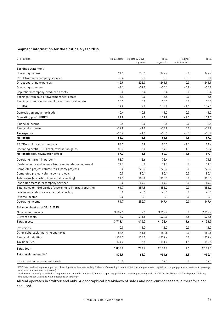#### Segment information for the first half-year 2015

| CHF million                                                    |         | Real estate Projects & Deve-<br>lopment | Total<br>segments | Holding/<br>eliminations | Total    |
|----------------------------------------------------------------|---------|-----------------------------------------|-------------------|--------------------------|----------|
| <b>Earnings statement</b>                                      |         |                                         |                   |                          |          |
| Operating income                                               | 91.7    | 255.7                                   | 347.4             | 0.0                      | 347.4    |
| Profit from intercompany services                              | $-2.4$  | 2.7                                     | 0.3               | $-0.3$                   | 0.0      |
| Direct operating expenses                                      | $-15.9$ | $-226.0$                                | $-241.9$          | 0.0                      | $-241.9$ |
| Operating expenses                                             | $-3.1$  | $-32.0$                                 | $-35.1$           | $-0.8$                   | $-35.9$  |
| Capitalised company-produced assets                            | 0.0     | 6.4                                     | 6.4               | 0.0                      | 6.4      |
| Earnings from sale of investment real estate                   | 18.4    | 0.0                                     | 18.4              | 0.0                      | 18.4     |
| Earnings from revaluation of investment real estate            | 10.5    | 0.0                                     | 10.5              | 0.0                      | 10.5     |
| <b>EBITDA</b>                                                  | 99.2    | 6.8                                     | 106.0             | $-1.1$                   | 104.9    |
| Depreciation and amortisation                                  | $-0.4$  | $-0.8$                                  | $-1.2$            | 0.0                      | $-1.2$   |
| <b>Operating profit (EBIT)</b>                                 | 98.8    | 6.0                                     | 104.8             | $-1.1$                   | 103.7    |
| Financial income                                               | 0.9     | 0.0                                     | 0.9               | 0.0                      | 0.9      |
| Financial expense                                              | $-17.8$ | $-1.0$                                  | $-18.8$           | 0.0                      | $-18.8$  |
| Tax expense                                                    | $-16.6$ | $-1.5$                                  | $-18.1$           | $-0.5$                   | $-18.6$  |
| Net profit                                                     | 65.3    | 3.5                                     | 68.8              | $-1.6$                   | 67.2     |
| <b>EBITDA</b> excl. revaluation gains                          | 88.7    | 6.8                                     | 95.5              | $-1.1$                   | 94.4     |
| Operating profit (EBIT) excl. revaluation gains                | 88.3    | 6.0                                     | 94.3              | $-1.1$                   | 93.2     |
| Net profit excl. revaluation effect                            | 57.2    | 3.5                                     | 60.7              | $-1.6$                   | 59.1     |
| Operating margin in percent <sup>1</sup>                       | 93.7    | 16.6                                    | 72.4              |                          | 71.5     |
| Rental income and income from real estate management           | 91.7    | 0.0                                     | 91.7              | 0.0                      | 91.7     |
| Completed project volume third-party projects                  | 0.0     | 223.7                                   | 223.7             | 0.0                      | 223.7    |
| Completed project volume own projects                          | 0.0     | 80.1                                    | 80.1              | 0.0                      | 80.1     |
| Total sales (according to internal reporting)                  | 91.7    | 303.8                                   | 395.5             | 0.0                      | 395.5    |
| less sales from intercompany services                          | 0.0     | $-44.3$                                 | $-44.3$           | 0.0                      | $-44.3$  |
| Total sales to third parties (according to internal reporting) | 91.7    | 259.5                                   | 351.2             | 0.0                      | 351.2    |
| less reconciliation item external reporting                    | 0.0     | $-3.9$                                  | $-3.9$            | 0.0                      | $-3.9$   |
| Diverse income                                                 | 0.0     | 0.1                                     | 0.1               | 0.0                      | 0.1      |
| Operating income                                               | 91.7    | 255.7                                   | 347.4             | 0.0                      | 347.4    |
| Balance sheet as at 31.12.2015                                 |         |                                         |                   |                          |          |
| Non-current assets                                             | 3709.9  | 2.5                                     | 3712.4            | 0.0                      | 2712.4   |
| <b>Current assets</b>                                          | 8.2     | 411.8                                   | 420.0             | 3.6                      | 423.6    |
| <b>Total assets</b>                                            | 3718.1  | 414.3                                   | 4132.4            | 3.6                      | 4136.0   |
| Provisions                                                     | 0.0     | 11.3                                    | 11.3              | 0.0                      | 11.3     |
| Other debt (excl. financing and taxes)                         | 88.9    | 91.6                                    | 180.5             | 0.0                      | 180.5    |
| <b>Financial liabilities</b>                                   | 1638.7  | 138.9                                   | 1777.6            | 0.0                      | 1777.6   |
| Tax liabilities                                                | 164.6   | 6.8                                     | 171.4             | 1.1                      | 172.5    |
| <b>Total debt</b>                                              | 1892.2  | 248.6                                   | 2 140.8           | 1.1                      | 2141.9   |
| Total assigned equity <sup>2</sup>                             | 1825.9  | 165.7                                   | 1991.6            | 2.5                      | 1994.1   |
| Investment in non-current assets                               | 18.8    | $0.3\,$                                 | 19.1              | 0.0                      | 19.1     |

<sup>1</sup> EBIT less revaluation gains in percent of earnings from business activity (balance of operating income, direct operating expenses, capitalised company-produced assets and earnings from sale of investment real estate)

<sup>2</sup> Assignment of equity to individual segments corresponds to internal financial reporting guidelines requiring an equity ratio of 40% for the Projects & Development division; financial and tax liabilities will be assigned accordingly

Allreal operates in Switzerland only. A geographical breakdown of sales and non-current assets is therefore not required.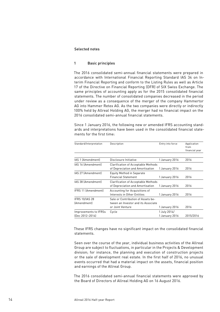#### Selected notes

#### 1 Basic principles

The 2016 consolidated semi-annual financial statements were prepared in accordance with International Financial Reporting Standard IAS 34 on Interim Financial Reporting and conform to the Listing Rules as well as Article 17 of the Directive on Financial Reporting (DFR) of SIX Swiss Exchange. The same principles of accounting apply as for the 2015 consolidated financial statements. The number of consolidated companies decreased in the period under review as a consequence of the merger of the company Hammertor AG into Hammer Retex AG. As the two companies were directly or indirectly 100% held by Allreal Holding AG, the merger had no financial impact on the 2016 consolidated semi-annual financial statements.

Since 1 January 2016, the following new or amended IFRS accounting standards and interpretations have been used in the consolidated financial statements for the first time:

| Standard/Interpretation                  | Description                                                                                   | Entry into force               | Application<br>from<br>financial year |
|------------------------------------------|-----------------------------------------------------------------------------------------------|--------------------------------|---------------------------------------|
|                                          |                                                                                               |                                |                                       |
| IAS 1 (Amendment)                        | Disclosure Initiative                                                                         | 1 January 2016                 | 2016                                  |
| IAS 16 (Amendment)                       | <b>Clarification of Acceptable Methods</b><br>of Depreciation and Amortisation                | 1 January 2016                 | 2016                                  |
| IAS 27 (Amendment)                       | Equity Method in Separate<br><b>Financial Statement</b>                                       | 1 January 2016                 | 2016                                  |
| IAS 38 (Amendment)                       | <b>Clarification of Acceptable Methods</b><br>of Depreciation and Amortisation                | 1 January 2016                 | 2016                                  |
| <b>IFRS 11 (Amendment)</b>               | Accounting for Acquisitions of<br>Interests in Other Entities                                 | 1 January 2016                 | 2016                                  |
| <b>IFRS 10/IAS 28</b><br>(Amendment)     | Sale or Contribution of Assets be-<br>tween an Investor and its Associate<br>or Joint Venture | 1 January 2016                 | 2016                                  |
| Improvements to IFRSs<br>(Dec 2012-2014) | Cycle                                                                                         | 1 July 2014/<br>1 January 2016 | 2015/2016                             |

These IFRS changes have no significant impact on the consolidated financial statements.

Seen over the course of the year, individual business activities of the Allreal Group are subject to fluctuations, in particular in the Projects & Development division; for instance, the planning and execution of construction projects or the sale of development real estate. In the first half of 2016, no unusual events occurred that had a material impact on the assets, financial position and earnings of the Allreal Group.

The 2016 consolidated semi-annual financial statements were approved by the Board of Directors of Allreal Holding AG on 16 August 2016.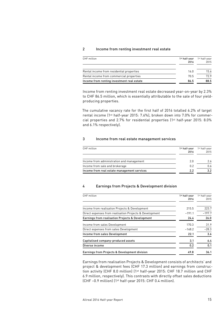### 2 Income from renting investment real estate

| CHF million                                | 1 <sup>st</sup> half-vear<br>2016 | 1 <sup>st</sup> half-vear<br>2015 |
|--------------------------------------------|-----------------------------------|-----------------------------------|
| Rental income from residential properties  | 16.0                              | 15.6                              |
| Rental income from commercial properties   | 70.5                              | 729                               |
| Income from renting investment real estate | 86.5                              | 88.5                              |

Income from renting investment real estate decreased year-on-year by 2.3% to CHF 86.5 million, which is essentially attributable to the sale of four yieldproducing properties.

The cumulative vacancy rate for the first half of 2016 totalled 6.2% of target rental income (1st half-year 2015: 7.6%), broken down into 7.0% for commercial properties and 2.7% for residential properties (1st half-year 2015: 8.0% and 6.1% respectively).

#### 3 Income from real estate management services

| CHF million                                 | 1 <sup>st</sup> half-vear<br>2016 | 1 <sup>st</sup> half-vear<br>2015 |
|---------------------------------------------|-----------------------------------|-----------------------------------|
| Income from administration and management   | 2 O                               | 26                                |
| Income from sale and brokerage              | 0 2                               | በ 6                               |
| Income from real estate management services | 22                                | 32                                |

# 4 Earnings from Projects & Development division

| CHF million                                             | 1 <sup>st</sup> half-year | 1 <sup>st</sup> half-year |
|---------------------------------------------------------|---------------------------|---------------------------|
|                                                         | 2016                      | 2015                      |
|                                                         |                           |                           |
| Income from realisation Projects & Development          | 215.5                     | 223.7                     |
| Direct expenses from realisation Projects & Development | $-191.1$                  | $-197.7$                  |
| Earnings from realisation Projects & Development        | 24.4                      | 26.0                      |
| Income from sales Development                           | 170.3                     | 31.9                      |
| Direct expenses from sales Development                  | $-148.2$                  | $-28.3$                   |
| Income from sales Development                           | 22.1                      | 3.6                       |
| Capitalised company-produced assets                     | 3.1                       | 6.4                       |
| Diverse income                                          | 0.2                       | 0.1                       |
| Earnings from Projects & Development division           | 49.8                      | 36.1                      |

Earnings from realisation Projects & Development consists of architects' and project & development fees (CHF 17.3 million) and earnings from construction activity (CHF 8.0 million) (1st half-year 2015: CHF 18.7 million and CHF 6.9 million, respectively). This contrasts with directly offset sales deductions (CHF –0.9 million) (1st half-year 2015: CHF 0.4 million).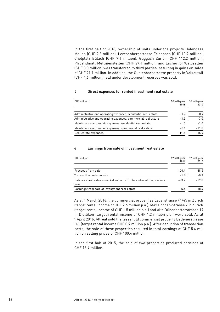In the first half of 2016, ownership of units under the projects Holengass Meilen (CHF 2.8 million), Lerchenbergstrasse Erlenbach (CHF 10.9 million), Cholplatz Bülach (CHF 9.4 million), Guggach Zurich (CHF 112.2 million), Pfruendmatt Mettmenstetten (CHF 27.4 million) and Escherhof Wallisellen (CHF 3.0 million) was transferred to third parties, resulting in gains on sales of CHF 21.1 million. In addition, the Guntenbachstrasse property in Volketswil (CHF 4.6 million) held under development reserves was sold.

#### 5 Direct expenses for rented investment real estate

| CHF million                                                    | 1 <sup>st</sup> half-year<br>2016 | 1 <sup>st</sup> half-year<br>2015 |  |
|----------------------------------------------------------------|-----------------------------------|-----------------------------------|--|
| Administrative and operating expenses, residential real estate | $-0.9$                            | $-0.9$                            |  |
| Administrative and operating expenses, commercial real estate  | $-3.5$                            | $-3.0$                            |  |
| Maintenance and repair expenses, residential real estate       | $-1.0$                            | $-1.0$                            |  |
| Maintenance and repair expenses, commercial real estate        | $-6.1$                            | $-110$                            |  |
| Real estate expenses                                           | $-11.5$                           | $-159$                            |  |

### 6 Earnings from sale of investment real estate

| CHF million                                                       | 1 <sup>st</sup> half-year<br>2016 | 1 <sup>st</sup> half-year<br>2015 |  |
|-------------------------------------------------------------------|-----------------------------------|-----------------------------------|--|
| Proceeds from sale                                                | 100.4                             | 88.5                              |  |
| Transaction costs on sale                                         | $-1.6$                            | $-0.3$                            |  |
| Balance sheet value = market value on 31 December of the previous | $-93.2$                           | $-698$                            |  |
| year                                                              |                                   |                                   |  |
| Earnings from sale of investment real estate                      | 5.6                               | 18.4                              |  |

As at 1 March 2016, the commercial properties Lagerstrasse 41/45 in Zurich (target rental income of CHF 2.6 million p.a.), Max Högger-Strasse 2 in Zurich (target rental income of CHF 1.5 million p.a.) and Alte Dübendorferstrasse 17 in Dietlikon (target rental income of CHF 1.2 million p.a.) were sold. As at 1 April 2016, Allreal sold the leasehold commercial property Badenerstrasse 141 (target rental income CHF 0.9 million p.a.). After deduction of transaction costs, the sale of these properties resulted in total earnings of CHF 5.6 million on selling prices of CHF 100.4 million.

In the first half of 2015, the sale of two properties produced earnings of CHF 18.4 million.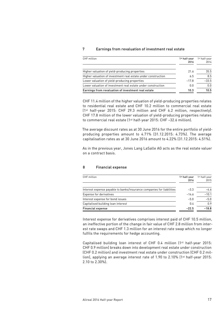### 7 Earnings from revaluation of investment real estate

| CHF million                                                   | 1 <sup>st</sup> half-year<br>2016 | 1st half-year<br>2014 |  |
|---------------------------------------------------------------|-----------------------------------|-----------------------|--|
| Higher valuation of yield-producing properties                | 216                               | 35.5                  |  |
| Higher valuation of investment real estate under construction | 6.5                               | 8.5                   |  |
| Lower valuation of yield-producing properties                 | $-17.8$                           | $-33.5$               |  |
| Lower valuation of investment real estate under construction  | 0.0                               | 0.0                   |  |
| Earnings from revaluation of investment real estate           | 10.3                              | 10.5                  |  |

CHF 11.4 million of the higher valuation of yield-producing properties relates to residential real estate and CHF 10.2 million to commercial real estate (1st half-year 2015: CHF 29.3 million and CHF 6.2 million, respectively). CHF 17.8 million of the lower valuation of yield-producing properties relates to commercial real estate (1st half-year 2015: CHF –32.6 million).

The average discount rates as at 30 June 2016 for the entire portfolio of yieldproducing properties amount to 4.71% (31.12.2015: 4.73%). The average capitalisation rates as at 30 June 2016 amount to 4.22% (31.12.2015: 4.51%).

As in the previous year, Jones Lang LaSalle AG acts as the real estate valuer on a contract basis.

| CHF million                                                           | 1 <sup>st</sup> half-year<br>2016 | 1st half-year<br>2015 |  |
|-----------------------------------------------------------------------|-----------------------------------|-----------------------|--|
| Interest expense payable to banks/insurance companies for liabilities | $-3.3$                            | $-4.6$                |  |
| Expense for derivatives                                               | $-14.6$                           | $-10.1$               |  |
| Interest expense for bond issues                                      | $-5.0$                            | $-5.0$                |  |
| Capitalised building loan interest                                    | 0.4                               | 0.9                   |  |
| <b>Financial expense</b>                                              | $-22.5$                           | $-18.8$               |  |

#### 8 Financial expense

Interest expense for derivatives comprises interest paid of CHF 10.5 million, an ineffective portion of the change in fair value of CHF 2.8 million from interest rate swaps and CHF 1.3 million for an interest rate swap which no longer fulfils the requirements for hedge accounting.

Capitalised building loan interest of CHF 0.4 million (1st half-year 2015: CHF 0.9 million) breaks down into development real estate under construction (CHF 0.2 million) and investment real estate under construction (CHF 0.2 million), applying an average interest rate of 1.90 to 2.10% (1st half-year 2015: 2.10 to 2.30%).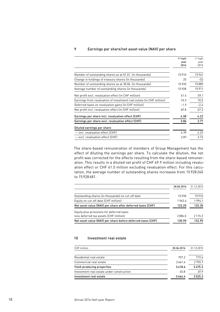#### 9 Earnings par share/net asset value (NAV) per share

|                                                                      | 1st half-    | 1st half-    |
|----------------------------------------------------------------------|--------------|--------------|
|                                                                      | year<br>2016 | year<br>2015 |
|                                                                      |              |              |
| Number of outstanding shares as at 01.01. (in thousands)             | 15910        | 15941        |
| Change in holdings of treasury shares (in thousands)                 | 25           | $-52$        |
| Number of outstanding shares as at 30.06. (in thousands)             | 15935        | 15889        |
| Average number of outstanding shares (in thousands)                  | 15928        | 15911        |
| Net profit excl. revaluation effect (in CHF million)                 | 61.4         | 59.1         |
| Earnings from revaluation of investment real estate (in CHF million) | 10.3         | 10.5         |
| Deferred taxes on revaluation gains (in CHF million)                 | $-1.9$       | $-2.4$       |
| Net profit incl. revaluation effect (in CHF million)                 | 69.8         | 67.2         |
| Earnings per share incl. revaluation effect (CHF)                    | 4.38         | 4.22         |
| Earnings per share excl. revaluation effect (CHF)                    | 3.86         | 3.71         |
| Diluted earnings per share                                           |              |              |
| - incl. revaluation effect (CHF)                                     | 4.39         | 4.23         |
| — excl. revaluation effect (CHF)                                     | 3.87         | 3.72         |

The share-based remuneration of members of Group Management has the effect of diluting the earnings per share. To calculate the dilution, the net profit was corrected for the effects resulting from the share-based remuneration. This results in a diluted net profit of CHF 69.9 million including revaluation effect or CHF 61.5 million excluding revaluation effect. For this calculation, the average number of outstanding shares increases from 15 928 240 to 15 928 681.

|                                                             | 30.06.2016 | 31.12.2015  |
|-------------------------------------------------------------|------------|-------------|
| Outstanding shares (in thousands) on cut-off date           | 15935      | 15910       |
| Equity on cut-off date (CHF million)                        | 1963.4     | 1994.1      |
| Net asset value (NAV) per share after deferred taxes (CHF)  | 123.20     | 125.35      |
| Equity plus provisions for deferred taxes                   |            |             |
| less deferred tax assets (CHF million)                      | 2086.0     | 2 1 1 5 . 3 |
| Net asset value (NAV) per share before deferred taxes (CHF) | 130.90     | 132.95      |

#### 10 Investment real estate

| CHF million                               | 30.06.2016 | 31.12.2015 |
|-------------------------------------------|------------|------------|
| Residential real estate                   | 757.2      | 7196       |
| Commercial real estate                    | 2661.4     | 2755.7     |
| Yield-producing properties                | 3418.6     | 3475.3     |
| Investment real estate under construction | 45.8       | 49.9       |
| Investment real estate                    | 3464.4     | 3525.2     |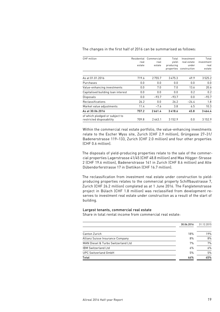| CHF million                        | Residential | Commercial | Total     | Investment              | Total       |
|------------------------------------|-------------|------------|-----------|-------------------------|-------------|
|                                    | real        | real       | yield-    | real estate             | investment  |
|                                    | estate      | estate     | producing | under                   | real        |
|                                    |             |            |           | properties construction | estate      |
| As at 01.01.2016                   | 719.6       | 2755.7     | 3475.3    | 49.9                    | 3525.2      |
| Purchases                          | 0.0         | 0.0        | 0.0       | 0.0                     | 0.0         |
| Value-enhancing investments        | 0.0         | 7.0        | 7.0       | 13.6                    | 20.6        |
| Capitalised building loan interest | 0.0         | 0.0        | 0.0       | 0.2                     | 0.2         |
| Disposals                          | 0.0         | $-93.7$    | $-93.7$   | 0.0                     | $-93.7$     |
| Reclassifications                  | 26.2        | 0.0        | 26.2      | $-24.4$                 | 1.8         |
| Market value adjustments           | 11.4        | $-7.6$     | 3.8       | 6.5                     | 10.3        |
| As at 30.06.2016                   | 757.2       | 2661.4     | 3418.6    | 45.8                    | 3464.4      |
| of which pledged or subject to     |             |            |           |                         |             |
| restricted disposability           | 709.8       | 2443.1     | 3152.9    | 0.0                     | 3 1 5 2 . 9 |

#### The changes in the first half of 2016 can be summarised as follows:

Within the commercial real estate portfolio, the value-enhancing investments relate to the Escher Wyss site, Zurich (CHF 2.9 million), Grüngasse 27–31/ Badenerstrasse 119–133, Zurich (CHF 2.0 million) and four other properties (CHF 0.6 million).

The disposals of yield-producing properties relate to the sale of the commercial properties Lagerstrasse 41/45 (CHF 48.8 million) and Max Högger-Strasse 2 (CHF 19.6 million), Badenerstrasse 141 in Zurich (CHF 8.6 million) and Alte Dübendorferstrasse 17 in Dietlikon (CHF 16.7 million).

The reclassification from investment real estate under construction to yieldproducing properties relates to the commercial property Schiffbaustrasse 7, Zurich (CHF 26.2 million) completed as at 1 June 2016. The Fangletenstrasse project in Bülach (CHF 1.8 million) was reclassified from development reserves to investment real estate under construction as a result of the start of building.

#### Largest tenants, commercial real estate

Share in total rental income from commercial real estate:

|                                    | 30.06.2016 | 31.12.2015 |
|------------------------------------|------------|------------|
| Canton Zurich                      | 18%        | 19%        |
| Allianz Suisse Insurance Company   | 8%         | 8%         |
| MAN Diesel & Turbo Switzerland Ltd | 7%         | 7%         |
| <b>IBM Switzerland Ltd</b>         | 6%         | 6%         |
| <b>UPC Switzerland GmbH</b>        | 5%         | 5%         |
| Total                              | 44%        | 45%        |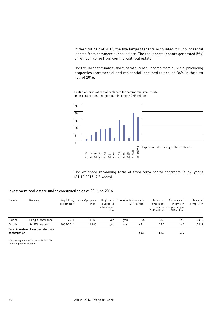In the first half of 2016, the five largest tenants accounted for 44% of rental income from commercial real estate. The ten largest tenants generated 59% of rental income from commercial real estate.

The five largest tenants' share of total rental income from all yield-producing properties (commercial and residential) declined to around 36% in the first half of 2016.

In percent of outstanding rental income in CHF million Profile of terms of rental contracts for commercial real estate



The weighted remaining term of fixed-term rental contracts is 7.6 years (31.12.2015: 7.8 years).

#### Investment real estate under construction as at 30 June 2016

| Location     | Property                           | Acquisition/<br>project start | Area of property<br>in $m2$ | Register of<br>suspected<br>contaminated<br>sites |     | Minergie Market value<br>CHF million <sup>1</sup> | Estimated<br>investment<br>volume<br>CHF million <sup>2</sup> | Target rental<br>income on<br>completion p.a.<br>CHF million | Expected<br>completion |
|--------------|------------------------------------|-------------------------------|-----------------------------|---------------------------------------------------|-----|---------------------------------------------------|---------------------------------------------------------------|--------------------------------------------------------------|------------------------|
| Bülach       | Fangletenstrasse                   | 2011                          | 11 2 5 0                    | yes                                               | yes | 2.4                                               | 38.0                                                          | 2.0                                                          | 2018                   |
| Zurich       | Schiffbauplatz                     | 2002/2014                     | 11180                       | yes                                               | yes | 43.4                                              | 73.0                                                          | 4.7                                                          | 2017                   |
| construction | Total investment real estate under |                               |                             |                                                   |     | 45.8                                              | 111.0                                                         | 6.7                                                          |                        |

<sup>1</sup> According to valuation as at 30.06.2016

<sup>2</sup> Building and land costs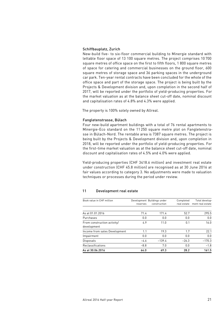#### Schiffbauplatz, Zurich

New-build five- to six-floor commercial building to Minergie standard with lettable floor space of 13 100 square metres. The project comprises 10 700 square metres of office space on the first to fifth floors, 1 800 square metres of space for catering and commercial businesses on the ground floor, 600 square metres of storage space and 36 parking spaces in the underground car park. Ten-year rental contracts have been concluded for the whole of the office space and part of the storage space. The project is being built by the Projects & Development division and, upon completion in the second half of 2017, will be reported under the portfolio of yield-producing properties. For the market valuation as at the balance sheet cut-off date, nominal discount and capitalisation rates of 4.8% and 4.3% were applied.

The property is 100% solely owned by Allreal.

#### Fangletenstrasse, Bülach

Four new-build apartment buildings with a total of 76 rental apartments to Minergie-Eco standard on the 11 250 square metre plot on Fangletenstrasse in Bülach-Nord. The rentable area is 7387 square metres. The project is being built by the Projects & Development division and, upon completion in 2018, will be reported under the portfolio of yield-producing properties. For the first-time market valuation as at the balance sheet cut-off date, nominal discount and capitalisation rates of 4.5% and 4.0% were applied.

Yield-producing properties (CHF 3418.6 million) and investment real estate under construction (CHF 45.8 million) are recognised as at 30 June 2016 at fair values according to category 3. No adjustments were made to valuation techniques or processes during the period under review.

| Book value in CHF million                  | reserves | Development Buildings under<br>construction | Completed<br>real estate | Total develop-<br>ment real estate |
|--------------------------------------------|----------|---------------------------------------------|--------------------------|------------------------------------|
| As at 01.01.2016                           | 71.4     | 171.4                                       | 52.7                     | 295.5                              |
| Purchases                                  | 0.0      | 0.0                                         | 0.0                      | 0.0                                |
| From construction activity/<br>development | 4.9      | 11.0                                        | 0.1                      | 16.0                               |
| Income from sales Development              | 1.1      | 19.3                                        | 1.7                      | 22.1                               |
| Impairment                                 | 0.0      | 0.0                                         | 0.0                      | 0.0                                |
| Disposals                                  | $-4.6$   | $-139.4$                                    | $-26.3$                  | $-170.3$                           |
| Reclassifications                          | $-8.8$   | 7.0                                         | 0.0                      | $-1.8$                             |
| As at 30.06.2016                           | 64.0     | 69.3                                        | 28.2                     | 161.5                              |

#### 11 Development real estate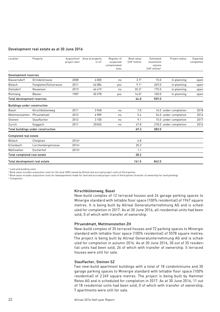#### Development real estate as at 30 June 2016

| Location                            | Property                           | Acquisition/<br>project start | Area of property<br>in $m2$ | Register of<br>suspected<br>contaminated<br>sites | Book value<br>CHF million | Estimated<br>investment<br>volume<br>CHF million <sup>1</sup> | Project status         | Expected<br>completion |
|-------------------------------------|------------------------------------|-------------------------------|-----------------------------|---------------------------------------------------|---------------------------|---------------------------------------------------------------|------------------------|------------------------|
| Development reserves                |                                    |                               |                             |                                                   |                           |                                                               |                        |                        |
| Bassersdorf                         | Grindelstrasse                     | 2008                          | 6000                        | no                                                | 3.7 <sup>2</sup>          | 15.0                                                          | in planning            | open                   |
| Bülach                              | Fangleten/Solistrasse              | 2011                          | 44084                       | yes                                               | 9.13                      | 269.0                                                         | in planning            | open                   |
| Dielsdorf                           | Neuwisen                           | 2013                          | 46419                       | no                                                | 35.2 <sup>2</sup>         | 175.0                                                         | in planning            | open                   |
| Rümlang                             | Bäuler                             | 1987                          | 30 278                      | yes                                               | 16.02                     | 100.0                                                         | in planning            | open                   |
| <b>Total development reserves</b>   |                                    |                               |                             |                                                   | 64.0                      | 559.0                                                         |                        |                        |
| <b>Buildings under construction</b> |                                    |                               |                             |                                                   |                           |                                                               |                        |                        |
| Basel                               | Kirschblütenweg                    | 2011                          | 3948                        | no                                                | 7.0                       |                                                               | 16.0 under completion  | 2018                   |
| Mettmenstetten                      | Pfruendmatt                        | 2012                          | 6989                        | no                                                | 5.4                       |                                                               | 34.0 under completion  | 2016                   |
| Steinen                             | Stauffacher                        | 2012                          | 3 1 0 0                     | no                                                | 9.1                       |                                                               | 15.0 under completion  | 2017                   |
| Zurich                              | Guggach                            | 2011                          | 20045                       | no                                                | 47.8                      |                                                               | 218.0 under completion | 2016                   |
|                                     | Total buildings under construction |                               |                             |                                                   | 69.3                      | 283.0                                                         |                        |                        |
| <b>Completed real estate</b>        |                                    |                               |                             |                                                   |                           |                                                               |                        |                        |
| Bülach                              | Cholplatz                          | 20144                         |                             |                                                   | 6.8                       |                                                               |                        |                        |
| Erlenbach                           | Lerchenbergstrasse                 | 20144                         |                             |                                                   | 20.3                      |                                                               |                        |                        |
| Wallisellen                         | Escherhof                          | 20134                         |                             |                                                   | 1.1                       |                                                               |                        |                        |
| Total completed real estate         |                                    |                               |                             |                                                   | 28.2                      |                                                               |                        |                        |
| Total development real estate       |                                    |                               |                             |                                                   | 161.5                     | 842.0                                                         |                        |                        |

<sup>1</sup> Land and building costs

<sup>2</sup> Book value includes acquisition costs for the land 100% owned by Allreal and accrued project costs of third parties

<sup>3</sup> Book value includes acquisition costs for downpayments made for land and accrued project costs of third parties (transfer of ownership for land pending)

<sup>4</sup> Completion

#### Kirschblütenweg, Basel

New-build complex of 12 terraced houses and 24 garage parking spaces to Minergie standard with lettable floor space (100% residential) of 1967 square metres. It is being built by Allreal Generalunternehmung AG and is scheduled for completion in 2017. As at 30 June 2016, all residential units had been sold, 0 of which with transfer of ownership.

#### Pfruendmatt, Mettmenstetten ZH

New-build complex of 35 terraced houses and 72 parking spaces to Minergie standard with lettable floor space (100% residential) of 5578 square metres. The project is being built by Allreal Generalunternehmung AG and is scheduled for completion in autumn 2016. As at 30 June 2016, 30 out of 35 residential units had been sold, 26 of which with transfer of ownership. 5 terraced houses were still for sale.

#### Stauffacher, Steinen SZ

Two new-build apartment buildings with a total of 18 condominiums and 30 garage parking spaces to Minergie standard with lettable floor space (100% residential) of 2 249 square metres. The project is being built by Hammer Retex AG and is scheduled for completion in 2017. As at 30 June 2016, 11 out of 18 residential units had been sold, 0 of which with transfer of ownership. 7 apartments were still for sale.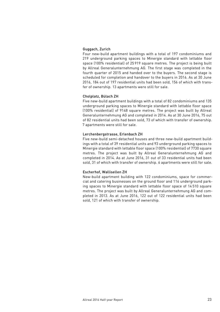#### Guggach, Zurich

Four new-build apartment buildings with a total of 197 condominiums and 219 underground parking spaces to Minergie standard with lettable floor space (100% residential) of 25 919 square metres. The project is being built by Allreal Generalunternehmung AG. The first stage was completed in the fourth quarter of 2015 and handed over to the buyers. The second stage is scheduled for completion and handover to the buyers in 2016. As at 30 June 2016, 184 out of 197 residential units had been sold, 156 of which with transfer of ownership. 13 apartments were still for sale.

#### Cholplatz, Bülach ZH

Five new-build apartment buildings with a total of 82 condominiums and 135 underground parking spaces to Minergie standard with lettable floor space (100% residential) of 9148 square metres. The project was built by Allreal Generalunternehmung AG and completed in 2014. As at 30 June 2016, 75 out of 82 residential units had been sold, 73 of which with transfer of ownership. 7 apartments were still for sale.

#### Lerchenbergstrasse, Erlenbach ZH

Five new-build semi-detached houses and three new-build apartment buildings with a total of 39 residential units and 93 underground parking spaces to Minergie standard with lettable floor space (100% residential) of 7730 square metres. The project was built by Allreal Generalunternehmung AG and completed in 2014. As at June 2016, 31 out of 33 residential units had been sold, 31 of which with transfer of ownership. 6 apartments were still for sale.

#### Escherhof, Wallisellen ZH

New-build apartment building with 122 condominiums, space for commercial and catering businesses on the ground floor and 116 underground parking spaces to Minergie standard with lettable floor space of 14 510 square metres. The project was built by Allreal Generalunternehmung AG and completed in 2013. As at June 2016, 122 out of 122 residential units had been sold, 121 of which with transfer of ownership.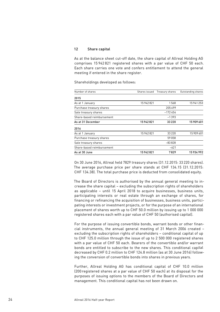#### 12 Share capital

As at the balance sheet cut-off date, the share capital of Allreal Holding AG comprises 15 942 821 registered shares with a par value of CHF 50 each. Each share carries one vote and confers entitlement to attend the general meeting if entered in the share register.

Shareholdings developed as follows:

| Number of shares          | Shares issued | Treasury shares | Outstanding shares |
|---------------------------|---------------|-----------------|--------------------|
| 2015                      |               |                 |                    |
| As at 1 January           | 15942821      | 1568            | 15941253           |
| Purchase treasury shares  |               | 205499          |                    |
| Sale treasury shares      |               | $-172454$       |                    |
| Share-based reimbursement |               | -1393           |                    |
| As at 31 December         | 15942821      | 33 2 20         | 15 909 601         |
| 2016                      |               |                 |                    |
| As at 1 January           | 15942821      | 33 2 2 0        | 15 909 601         |
| Purchase treasury shares  |               | 59058           |                    |
| Sale treasury shares      |               | -83828          |                    |
| Share-based reimbursement |               | $-621$          |                    |
| As at 30 June             | 15942821      | 7829            | 15 934 992         |

On 30 June 2016, Allreal held 7829 treasury shares (31.12.2015: 33 220 shares). The average purchase price per share stands at CHF 134.15 (31.12.2015: CHF 134.38). The total purchase price is deducted from consolidated equity.

The Board of Directors is authorised by the annual general meeting to in crease the share capital – excluding the subscription rights of shareholders as applicable – until 15 April 2018 to acquire businesses, business units, participating interests or real estate through an exchange of shares, for financing or refinancing the acquisition of businesses, business units, participating interests or investment projects, or for the purpose of an international placement of shares worth up to CHF 50.0 million by issuing up to 1 000 000 registered shares each with a par value of CHF 50 (authorised capital).

For the purpose of issuing convertible bonds, warrant bonds or other financial instruments, the annual general meeting of 31 March 2006 created – excluding the subscription rights of shareholders – conditional capital of up to CHF 125.0 million through the issue of up to 2 500 000 registered shares with a par value of CHF 50 each. Bearers of the convertible and/or warrant bonds are entitled to subscribe to the new shares. This conditional capital decreased by CHF 0.2 million to CHF 124.8 million (as at 30 June 2016) following the conversion of convertible bonds into shares in previous years.

Further, Allreal Holding AG has conditional capital of CHF 10.0 million (200 registered shares at a par value of CHF 50 each) at its disposal for the purposes of issuing options to the members of the Board of Directors and management. This conditional capital has not been drawn on.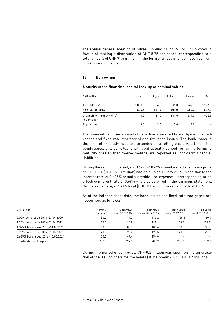The annual general meeting of Allreal Holding AG of 15 April 2016 voted in favour of making a distribution of CHF 5.75 per share, corresponding to a total amount of CHF 91.6 million, in the form of a repayment of reserves from contribution of capital.

#### 13 Borrowings

Maturity of the financing (capital lock-up at nominal values)

| CHF million                            | $<$ 1 vear | $1-3$ years | $3-5$ years | $> 5$ years | Total  |
|----------------------------------------|------------|-------------|-------------|-------------|--------|
| As at 31.12.2015                       | 1003.5     | 6.0         | 306.0       | 662.3       | 1777.8 |
| As at 30.06.2016                       | 686.5      | 131.0       | 301.0       | 489.3       | 1607.8 |
| of which with repayment/<br>redemption | 3.0        | 131.0       | 301.0       | 489.3       | 924.3  |
| Repayment p.a.                         | 3.0        | 3.0         | 3.0         | 3.0         |        |

The financial liabilities consist of bank loans secured by mortgage (fixed advances and fixed-rate mortgages) and five bond issues. The bank loans in the form of fixed advances are extended on a rolling basis. Apart from the bond issues, only bank loans with contractually agreed remaining terms to maturity greater than twelve months are reported as long-term financial liabilities.

During the reporting period, a 2016–2024 0.625% bond issued at an issue price of 100.000% (CHF 150.0 million) was paid up on 12 May 2016. In addition to the interest rate of 0.625% actually payable, the expense – corresponding to an effective interest rate of 0.68% – is also deferred in the earnings statement. On the same date, a 2.50% bond (CHF 150 million) was paid back at 100%.

As at the balance sheet date, the bond issues and fixed-rate mortgages are recognised as follows:

| CHF million                       | Nominal<br>amount | Book value<br>as at 30.06.2016 | Fair value<br>as at 30.06.2016 | Book value<br>as at 31.12.2015 | Fair value<br>as at 31.12.2015 |
|-----------------------------------|-------------------|--------------------------------|--------------------------------|--------------------------------|--------------------------------|
| 2.00% bond issue 2013-23.09.2020  | 150.0             | 149.3                          | 162.2                          | 149.2                          | 160.4                          |
| 1.25% bond issue 2014–02.04.2019  | 125.0             | 124.8                          | 129.1                          | 1247                           | 129.0                          |
| l.375% bond issue 2015–31.03.2025 | 100.0             | 100.5                          | 108.6                          | 100.5                          | 103.4                          |
| 0.75% bond issue 2015-31.03.2021  | 120.0             | 120.4                          | 123.5                          | 120.5                          | 122.3                          |
| 0.625% bond issue 2016-10.05.2024 | 150.0             | 149.4                          | 154.0                          |                                |                                |
| Fixed-rate mortgages              | 277.8             | 277.8                          | 287.2                          | 296.8                          | 307.3                          |

During the period under review CHF 0.2 million was spent on the amortisation of the issuing costs for the bonds (1st half-year 2015: CHF 0.2 million).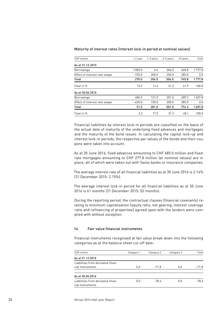| CHF million                   | <1 year     | $1-3$ years | $3-5$ years | >5 years | Total  |
|-------------------------------|-------------|-------------|-------------|----------|--------|
| As at 31.12.2015              |             |             |             |          |        |
| <b>Borrowings</b>             | 1 0 0 5 . 0 | 6.0         | 306.0       | 460.8    | 1777.8 |
| Effect of interest rate swaps | $-735.0$    | 200.0       | 250.0       | 285.0    | 0.0    |
| Total                         | 270.0       | 206.0       | 556.0       | 745.8    | 1777.8 |
| Total in %                    | 15.2        | 11.6        | 31.3        | 41.9     | 100.0  |
| As at 30.06.2016              |             |             |             |          |        |
| <b>Borrowings</b>             | 686.5       | 131.0       | 301.0       | 489.3    | 1607.8 |
| Effect of interest rate swaps | $-635.0$    | 150.0       | 200.0       | 285.0    | 0.0    |
| Total                         | 51.5        | 281.0       | 501.0       | 774.3    | 1607.8 |
| Total in %                    | 3.2         | 17.5        | 31.2        | 48.1     | 100.0  |

#### Maturity of interest rates (interest lock-in period at nominal values)

Financial liabilities by interest lock-in periods are classified on the basis of the actual date of maturity of the underlying fixed advances and mortgages and the maturity of the bond issues. In calculating the capital lock-up and interest lock-in periods, the respective par values of the bonds and their coupons were taken into account.

As at 30 June 2016, fixed advances amounting to CHF 685.0 million and fixedrate mortgages amounting to CHF 277.8 million (at nominal values) are in place, all of which were taken out with Swiss banks or insurance companies.

The average interest rate of all financial liabilities as at 30 June 2016 is 2.14% (31 December 2015: 2.15%).

The average interest lock-in period for all financial liabilities as at 30 June 2016 is 61 months (31 December 2015: 52 months).

During the reporting period, the contractual clauses (financial covenants) relating to minimum capitalisation (equity ratio, net gearing, interest coverage ratio and refinancing of properties) agreed upon with the lenders were complied with without exception.

### 14 Fair value financial instruments

Financial instruments recognised at fair value break down into the following categories as at the balance sheet cut-off date:

| CHF million                        | Category 1 | Category 2 | Category 3 | Total   |
|------------------------------------|------------|------------|------------|---------|
| As at 31.12.2015                   |            |            |            |         |
| Liabilities from derivative finan- |            |            |            |         |
| cial instruments                   | 0.0        | $-71.8$    | 0.0        | $-71.8$ |
| As at 30.06.2016                   |            |            |            |         |
| Liabilities from derivative finan- | 0.0        | $-784$     | 0.0        | $-784$  |
| cial instruments                   |            |            |            |         |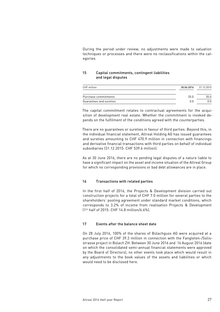During the period under review, no adjustments were made to valuation techniques or processes and there were no reclassifications within the categories.

#### 15 Capital commitments, contingent liabilities and legal disputes

| CHF million             | 30.06.2016 | 31.12.2015 |
|-------------------------|------------|------------|
| Purchase commitments    | 35 O       | 35 O       |
| Guarantees and sureties | n n        |            |

The capital commitment relates to contractual agreements for the acquisition of development real estate. Whether the commitment is invoked depends on the fulfilment of the conditions agreed with the counterparties.

There are no guarantees or sureties in favour of third parties. Beyond this, in the individual financial statement, Allreal Holding AG has issued guarantees and sureties amounting to CHF 470.9 million in connection with financings and derivative financial transactions with third parties on behalf of individual subsidiaries (31.12.2015: CHF 539.6 million).

As at 30 June 2016, there are no pending legal disputes of a nature liable to have a significant impact on the asset and income situation of the Allreal Group for which no corresponding provisions or bad debt allowances are in place.

#### 16 Transactions with related parties

In the first half of 2016, the Projects & Development division carried out construction projects for a total of CHF 7.0 million for several parties to the shareholders' pooling agreement under standard market conditions, which corresponds to 3.2% of income from realisation Projects & Development (1st half of 2015: CHF 14.8 million/6.6%).

#### 17 Events after the balance sheet date

On 28 July 2016, 100% of the shares of Bülachguss AG were acquired at a purchase price of CHF 39.3 million in connection with the Fangleten-/Solisstrasse project in Bülach ZH. Between 30 June 2016 and 16 August 2016 (date on which the consolidated semi-annual financial statements were approved by the Board of Directors), no other events took place which would result in any adjustments to the book values of the assets and liabilities or which would need to be disclosed here.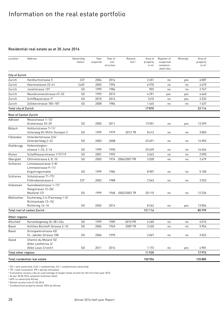# Information on the real estate portfolio

#### Residential real estate as at 30 June 2016

| Location              | Address                                    | Ownership<br>status <sup>1</sup> | Year<br>acquired | Year of<br>con-<br>struction | Renova-<br>tion <sub>2</sub> | Area of<br>property<br>in $m2$ | Register of<br>suspected<br>contamin-<br>ated sites | Minergie | Area of<br>property<br>in m <sup>2</sup> |
|-----------------------|--------------------------------------------|----------------------------------|------------------|------------------------------|------------------------------|--------------------------------|-----------------------------------------------------|----------|------------------------------------------|
| City of Zurich        |                                            |                                  |                  |                              |                              |                                |                                                     |          |                                          |
| Zurich                | Hardturmstrasse 5                          | CO <sup>7</sup>                  | 2004             | 2014                         |                              | 2651                           | no                                                  | yes      | 6087                                     |
| Zurich                | Heerenwiesen 23-41                         | CoO <sup>5</sup>                 | 2003             | 1996                         |                              | 6970                           | no                                                  | no       | 4670                                     |
| Zurich                | Josefstrasse 137                           | S <sub>0</sub>                   | 1999             | 1984                         |                              | 903                            | no                                                  | no       | 2747                                     |
| Zurich                | Neunbrunnenstrasse 47-53                   | S <sub>0</sub>                   | 1993             | 2013                         |                              | 4291                           | yes                                                 | yes      | 4640                                     |
| Zurich                | Schiffbaustrasse 76                        | S <sub>0</sub>                   | 2010             | 2016                         |                              | 1610                           | no                                                  | yes      | 2333                                     |
| Zurich                | Zollikerstrasse 185-187                    | S <sub>0</sub>                   | 2008             | 1984                         |                              | 1445                           | no                                                  | no       | 1637                                     |
| Total city of Zurich  |                                            |                                  |                  |                              |                              | 17870                          |                                                     |          | 22114                                    |
| Rest of Canton Zurich |                                            |                                  |                  |                              |                              |                                |                                                     |          |                                          |
| Adliswil              | Moosstrasse 1-13/                          |                                  |                  |                              |                              |                                |                                                     |          |                                          |
|                       | Grütstrasse 33-39                          | S <sub>0</sub>                   | 2005             | 2011                         |                              | 13 901                         | no                                                  | yes      | 13299                                    |
| Bülach                | Hohfuristrasse 7-11/                       |                                  |                  |                              |                              |                                |                                                     |          |                                          |
|                       | Unterweg 55-59/Im Stumpen 2                | S <sub>0</sub>                   | 1999             | 1979                         | 2013 TR                      | 8412                           | no                                                  | no       | 3850                                     |
| Fällanden             | Unterdorfstrasse 2/4/<br>Unterdorfwäg 2-22 | S <sub>0</sub>                   | 2003             | 2008                         |                              | 23691                          | no                                                  | no       | 14903                                    |
| Glattbrugg            | Hohenstieglen-                             |                                  |                  |                              |                              |                                |                                                     |          |                                          |
|                       | strasse 1-23, 2-16                         | S <sub>0</sub>                   | 1999             | 1990                         |                              | 29 639                         | no                                                  | no       | 14654                                    |
| Kloten                | Schaffhauserstrasse 117/119                | S <sub>0</sub>                   | 2001             | 1992                         |                              | 3643                           | no                                                  | no       | 2090                                     |
| Oberglatt             | Chlirietstrasse 6, 8, 10                   | S <sub>0</sub>                   | 2003             |                              | 1974 2006/2007 PR            | 2028                           | no                                                  | no       | 2479                                     |
| Schlieren             | Limmataustrasse 2-8/                       |                                  |                  |                              |                              |                                |                                                     |          |                                          |
|                       | Limmatstrasse 9-11/<br>Engstringermatte    | S <sub>0</sub>                   | 1999             | 1984                         |                              | 8907                           | no                                                  | no       | 5 1 0 0                                  |
| Schlieren             | Schulstrasse 71-77/                        |                                  |                  |                              |                              |                                |                                                     |          |                                          |
|                       | Flöhrebenstrasse 6                         | CO <sup>7</sup>                  | 2002             | 1988                         |                              | 2543                           | no                                                  | no       | 3332                                     |
| Volketswil            | Sunnebüelstrasse 1-17/                     |                                  |                  |                              |                              |                                |                                                     |          |                                          |
|                       | Ifangstrasse 12-20/                        |                                  |                  |                              |                              |                                |                                                     |          |                                          |
|                       | Neufund 1/3                                | S <sub>0</sub>                   | 1999             |                              | 1968 2002/2003 TR            | 20110                          | no                                                  | no       | 12 2 3 6                                 |
| Wallisellen           | Escherweg 2-6 /Favreweg 1-5/               |                                  |                  |                              |                              |                                |                                                     |          |                                          |
|                       | Richtiarkade 13-15/                        |                                  |                  |                              |                              |                                |                                                     |          |                                          |
|                       | Richtiring 14-16                           | S <sub>0</sub>                   | 2002             | 2014                         |                              | 8 2 4 2                        | no                                                  | yes      | 13856                                    |
|                       | Total rest of canton Zurich                |                                  |                  |                              |                              | 121 116                        |                                                     |          | 85799                                    |
| Other regions         |                                            |                                  |                  |                              |                              |                                |                                                     |          |                                          |
| Allschwil             | Kurzelängeweg 26-38+32a                    | S <sub>0</sub>                   | 1999             | 1989                         | 2010 PR                      | 6260                           | no                                                  | no       | 4015                                     |
| Basel                 | Achilles Bischoff-Strasse 2-10             | S <sub>0</sub>                   | 2006             | 1969                         | 2009 TR                      | 2420                           | no                                                  | no       | 5954                                     |
| Basel                 | Grosspeterstrasse 45/                      |                                  |                  |                              |                              |                                |                                                     |          |                                          |
|                       | St.-Jakobs-Strasse 108                     | S <sub>0</sub>                   | 2006             | 1995                         |                              | 2067                           | no                                                  | no       | 3022                                     |
| Gland                 | Chemin du Molard 10/                       |                                  |                  |                              |                              |                                |                                                     |          |                                          |
|                       | Allée Leotherius 2/                        |                                  |                  |                              |                              |                                |                                                     |          |                                          |
|                       | Allée Louis Cristin1                       | S <sub>0</sub>                   | 2011             | 2014                         |                              | 1173                           | no                                                  | yes      | 4981                                     |
| Total other regions   |                                            |                                  |                  |                              |                              | 11920                          |                                                     |          | 17972                                    |
|                       | Total residential real estate              |                                  |                  |                              |                              | 150906                         |                                                     |          | 125885                                   |

<sup>1</sup> SO = sole ownership; CoO = coownership; CO = condominium ownership

2 TR = total renovation; PR = partial renovation

<sup>3</sup> Cumulative vacancy rate as a percentage of target rental income for the first half-year 2016

<sup>4</sup> As per 30.06.2016 valuation (nominal rates)

<sup>5</sup> 60% co-ownership Allreal

<sup>6</sup> Rental income from 01.06.2016

<sup>7</sup> Condominium property owned 100% by Allreal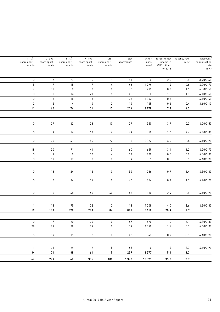| $4 - 4^{1}/2 -$<br>room apart-<br>ments | $3 - 3^{1}/2$ -<br>ments | room apart- | $2 - 21/2 -$<br>room apart-<br>ments | $1 - 11/2 -$<br>ments | room apart- |  |
|-----------------------------------------|--------------------------|-------------|--------------------------------------|-----------------------|-------------|--|
| 6                                       | 27                       |             | 17                                   | $\mathbf 0$           |             |  |
| 17                                      | 15                       |             | $7\phantom{.0}$                      | $5\overline{)}$       |             |  |
| $\mathbf 0$                             | $\mathbb O$              |             | 36                                   | $\frac{1}{4}$         |             |  |
| 21                                      | 14                       |             | $\bf{0}$                             | $\mathbf 0$           |             |  |
| $\mathbf{3}$                            | 16                       |             | $\mathbf{3}$                         | $\mathbf 0$           |             |  |
| $\frac{1}{4}$                           | $\overline{4}$           |             | $\overline{2}$                       | $\overline{2}$        |             |  |
| 51                                      | 76                       |             | 65                                   | 11                    |             |  |
| 38                                      | 62                       |             | 27                                   | $\mathbb O$           |             |  |
| 18                                      | 16                       |             | 9                                    | $\mathbb O$           |             |  |
| 56                                      | 41                       |             | $20\,$                               | $\bf{0}$              |             |  |
| 41                                      | 71                       |             | 30                                   | 18                    |             |  |
| 10                                      | $\bf{0}$                 |             | $\overline{4}$                       | $\mathbf 0$           |             |  |
| $\mathbf 0$                             | 17                       |             | 17                                   | $\mathbf 0$           |             |  |
|                                         |                          |             |                                      |                       |             |  |
| 12                                      | 24                       |             | 18                                   | $\mathbf 0$           |             |  |
| 16                                      | 24                       |             | $\overline{0}$                       | $\mathbb O$           |             |  |
| 60                                      | 48                       |             | $\mathbf 0$                          | $\mathbf{0}$          |             |  |
| 22                                      | 75                       |             | 18                                   | $\overline{1}$        |             |  |
| 273                                     | 378                      |             | 143                                  | 19                    |             |  |
|                                         |                          |             |                                      |                       |             |  |
| $20\,$                                  | 20                       |             | $7\overline{ }$                      | $\overline{0}$        |             |  |
| 24                                      | 28                       |             | 24                                   | 28                    |             |  |
| 8                                       | 11                       |             | 19                                   | 5 <sub>5</sub>        |             |  |
| 9                                       | 29                       |             | 21                                   | $\overline{1}$        |             |  |
| 61                                      | 88                       |             | 71                                   | 34                    |             |  |
| 385                                     | 542                      |             | 279                                  | 64                    |             |  |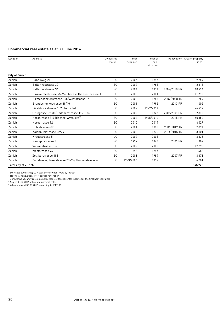# Commercial real estate as at 30 June 2016

| Location             | Address                                         | Ownership           | Year      | Year of           | Renovation <sup>2</sup> Area of property |         |
|----------------------|-------------------------------------------------|---------------------|-----------|-------------------|------------------------------------------|---------|
|                      |                                                 | status <sup>1</sup> | acquired  | con-<br>struction |                                          | in $m2$ |
| City of Zurich       |                                                 |                     |           |                   |                                          |         |
| Zurich               | Bändliweg 21                                    | S <sub>0</sub>      | 2005      | 1995              |                                          | 9 2 5 4 |
| Zurich               | Bellerivestrasse 30                             | S <sub>0</sub>      | 2004      | 1986              |                                          | 2316    |
| Zurich               | Bellerivestrasse 36                             | S <sub>0</sub>      | 2004      | 1974              | 2009/2010 PR                             | 10494   |
| Zurich               | Binzmühlestrasse 95-99/Therese Giehse-Strasse 1 | S <sub>0</sub>      | 2005      | 2001              |                                          | 11712   |
| Zurich               | Birmensdorferstrasse 108/Weststrasse 75         | S <sub>0</sub>      | 2000      | 1983              | 2007/2008 TR                             | 1 2 5 4 |
| Zurich               | Brandschenkestrasse 38/40                       | S <sub>0</sub>      | 2001      | 1992              | 2013 PR                                  | 1402    |
| Zurich               | Förrlibuckstrasse 109 (Toni site)               | S <sub>0</sub>      | 2007      | 1977/2014         |                                          | 24477   |
| Zurich               | Grüngasse 27-31/Badenerstrasse 119-133          | S <sub>0</sub>      | 2002      | 1925              | 2006/2007 PR                             | 7870    |
| Zurich               | Hardstrasse 319 (Escher-Wyss site) <sup>5</sup> | S <sub>0</sub>      | 2002      | 1945/2010         | 2015 PR                                  | 40350   |
| Zurich               | Herostrasse 12                                  | S <sub>0</sub>      | 2010      | 2014              |                                          | 4027    |
| Zurich               | Hohlstrasse 600                                 | S <sub>0</sub>      | 2001      | 1986              | 2006/2012 TR                             | 2894    |
| Zurich               | Kalchbühlstrasse 22/24                          | S <sub>0</sub>      | 2000      | 1976              | 2014/2015 TR                             | 3 1 0 1 |
| Zurich               | Kreuzstrasse 5                                  | L0                  | 2004      | 2006              |                                          | 3333    |
| Zurich               | Renggerstrasse 3                                | S <sub>0</sub>      | 1999      | 1966              | 2001 PR                                  | 1389    |
| Zurich               | Vulkanstrasse 106                               | S <sub>0</sub>      | 2002      | 2005              |                                          | 12295   |
| Zurich               | Weststrasse 74                                  | S <sub>0</sub>      | 1996      | 1995              |                                          | 1482    |
| Zurich               | Zollikerstrasse 183                             | S <sub>0</sub>      | 2008      | 1984              | 2007 PR                                  | 3371    |
| Zurich               | Zollstrasse/Josefstrasse 23-29/Klingenstrasse 4 | S <sub>0</sub>      | 1993/2006 | 1997              |                                          | 4201    |
| Total city of Zurich |                                                 |                     |           |                   |                                          | 145 222 |

<sup>1</sup> SO = sole ownership; LO = leasehold owned 100% by Allreal

 $2 TR = total$  renovation; PR = partial renovation

 $^{\rm 3}$  Cumulative vacancy rate as a percentage of target rental income for the first half-year 2016

4 As per 30.06.2016 valuation (nominal rates)

5 Valuation as at 30.06.2016 according to IFRS 13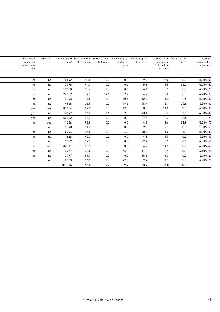| Discount/<br>capitalisation<br>rate in %4 | in % <sup>3</sup> | Target rental Vacancy rate<br>income in<br>CHF million<br>for 2016 | other uses | residential<br>space | Floor space Percentage of Percentage of Percentage of Percentage of | office space retail space | in m <sup>2</sup> | Minergie | Register of<br>suspected<br>contaminated<br>sites |
|-------------------------------------------|-------------------|--------------------------------------------------------------------|------------|----------------------|---------------------------------------------------------------------|---------------------------|-------------------|----------|---------------------------------------------------|
| 5.00/4.50                                 | 0.0               | 7.0                                                                | 9.2        | 0.0                  | 0.0                                                                 | 90.8                      | 18642             | no       | no                                                |
| 5.00/4.50                                 | 96.7              | 1.5                                                                | 5.3        | 0.0                  | $0.0\,$                                                             | 94.7                      | 3078              | no       | no                                                |
| 4.70/4.20                                 | 0.4               | 5.7                                                                | 26.4       | 0.0                  | 0.0                                                                 | 73.6                      | 11950             | no       | no                                                |
| 4.70/4.20                                 | 3.8               | 7.0                                                                | 4.9        | 32.7                 | 54.6                                                                | 7.8                       | 26 139            | no       | no                                                |
| 5.00/4.50                                 | 2.4               | 1.4                                                                | 12.0       | 10.5                 | 3.0                                                                 | 74.5                      | 4743              | no       | no                                                |
| 4.50/4.00                                 | 24.8              | 2.1                                                                | 46.9       | 19.3                 | 0.0                                                                 | 33.8                      | 4856              | no       | no                                                |
| 4.40/4.00                                 | 3.3               | 21.0                                                               | 0.0        | 12.8                 | 0.0                                                                 | 87.2                      | 87004             | yes      | yes                                               |
| 4.88/4.38                                 | 7.1               | 3.3                                                                | 43.1       | 32.8                 | 7.6                                                                 | 16.5                      | 12847             | no       | yes                                               |
| $-/-$                                     | 0.4               | 10.3                                                               | 67.7       | 0.0                  | 0.0                                                                 | 32.3                      | 50432             | no       | yes                                               |
| 5.20/4.70                                 | 38.8              | 3.6                                                                | 4.2        | 0.0                  | 0.0                                                                 | 95.8                      | 11 2 5 6          | yes      | no                                                |
| 5.00/4.50                                 | 0.0               | 4.3                                                                | 9.0        | 0.0                  | 0.0                                                                 | 91.0                      | 10190             | no       | no                                                |
| 5.30/4.80                                 | 1.1               | 1.6                                                                | 48.2       | 6.0                  | 0.0                                                                 | 45.8                      | 6 244             | no       | no                                                |
| 4.50/4.00                                 | 0.0               | 1.0                                                                | 4.3        | 0.0                  | 0.0                                                                 | 95.7                      | 1628              | no       | no                                                |
| 4.90/4.40                                 | 0.1               | 0.5                                                                | 22.9       | 0.0                  | 0.0                                                                 | 77.1                      | 1729              | no       | no                                                |
| 4.90/4.40                                 | 0.1               | 11.5                                                               | 4.9        | 0.0                  | 0.0                                                                 | 95.1                      | 36311             | yes      | no                                                |
| 4.40/3.90                                 | 23.1              | 0.9                                                                | 11.2       | 55.3                 | 0.0                                                                 | 33.5                      | 3 2 7 7           | no       | no                                                |
| 4.70/4.20                                 | 0.0               | 1.3                                                                | 18.3       | 0.0                  | 0.0                                                                 | 81.7                      | 2777              | no       | no                                                |
| 4.70/4.20                                 | 2.7               | 4.1                                                                | 9.9        | 29.8                 | 3.3                                                                 | 56.9                      | 10703             | no       | no                                                |
|                                           | 5.5               | 87.8                                                               | 18.9       | 9.7                  | 5.2                                                                 | 66.2                      | 303806            |          |                                                   |

Ļ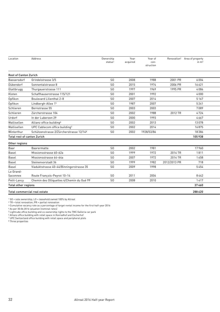| Location                     | Address                                   | Ownership<br>status <sup>1</sup> | Year<br>acquired | Year of<br>con-<br>struction |              | Renovation <sup>2</sup> Area of property<br>in $m2$ |  |
|------------------------------|-------------------------------------------|----------------------------------|------------------|------------------------------|--------------|-----------------------------------------------------|--|
| <b>Rest of Canton Zurich</b> |                                           |                                  |                  |                              |              |                                                     |  |
| Bassersdorf                  | Grindelstrasse 3/5                        | S <sub>0</sub>                   | 2008             | 1988                         | 2001 PR      | 6004                                                |  |
| Dübendorf                    | Sonnentalstrasse 8                        | S <sub>0</sub>                   | 2015             | 1974                         | 2006 PR      | 16621                                               |  |
| Glattbrugg                   | Thurgauerstrasse 111                      | SO                               | 1997             | 1969                         | 1995 PR      | 4086                                                |  |
| Kloten                       | Schaffhauserstrasse 115/121               | S <sub>0</sub>                   | 2001             | 1992                         |              | 4000                                                |  |
| Opfikon                      | Boulevard Lilienthal 2-8                  | SO                               | 2007             | 2014                         |              | 5167                                                |  |
| Opfikon                      | Lindbergh-Allee 15                        | S <sub>0</sub>                   | 1987             | 2007                         |              | 5241                                                |  |
| Schlieren                    | Bernstrasse 55                            | S <sub>0</sub>                   | 2003             | 2003                         |              | 7089                                                |  |
| Schlieren                    | Zürcherstrasse 104                        | S <sub>0</sub>                   | 2002             | 1988                         | 2012 TR      | 4724                                                |  |
| Urdorf                       | In der Luberzen 29                        | SO                               | 2000             | 1993                         |              | 4667                                                |  |
| Wallisellen                  | Allianz office building <sup>6</sup>      | SO                               | 2002             | 2013                         |              | 13078                                               |  |
| Wallisellen                  | UPC Cablecom office building7             | SO                               | 2002             | 2014                         |              | 16875                                               |  |
| Winterthur                   | Schützenstrasse 2/Zürcherstrasse 12/148   | S <sub>0</sub>                   | 2002             | 1928/53/86                   |              | 18386                                               |  |
| Total rest of canton Zurich  |                                           |                                  |                  |                              |              | 105938                                              |  |
| Other regions                |                                           |                                  |                  |                              |              |                                                     |  |
| Baar                         | Baarermatte                               | SO                               | 2002             | 1981                         |              | 17960                                               |  |
| Basel                        | Missionsstrasse 60-62a                    | S <sub>0</sub>                   | 1999             | 1972                         | 2014 TR      | 1811                                                |  |
| Basel                        | Missionsstrasse 64-64a                    | S <sub>0</sub>                   | 2007             | 1972                         | 2014 TR      | 1658                                                |  |
| Basel                        | Steinenvorstadt 36                        | S <sub>0</sub>                   | 1999             | 1982                         | 2012/2013 PR | 718                                                 |  |
| Basel                        | Viaduktstrasse 40-44/Binningerstrasse 35  | S <sub>0</sub>                   | 2009             | 1998                         |              | 5454                                                |  |
| Le Grand-                    |                                           |                                  |                  |                              |              |                                                     |  |
| Saconnex                     | Route François-Peyrot 10-14               | SO                               | 2011             | 2004                         |              | 8442                                                |  |
| Petit-Lancy                  | Chemin des Olliquettes 4/Chemin du Gué 99 | S <sub>0</sub>                   | 2008             | 2010                         |              | 1417                                                |  |
| Total other regions          |                                           |                                  |                  |                              |              | 37460                                               |  |
| Total commercial real estate |                                           |                                  |                  |                              |              | 288620                                              |  |

<sup>1</sup> SO = sole ownership; LO = leasehold owned 100% by Allreal

<sup>2</sup> TR = total renovation; PR = partial renovation

<sup>3</sup> Cumulative vacancy rate as a percentage of target rental income for the first half-year 2016

4 As per 30.06.2016 valuation (nominal rates)

<sup>5</sup> Lightcube office building and co-ownership rights to the TMC Galleria car park

6 Allianz office building with retail space in Konradhof and Escherhof

7 UPC Switzerland office building with retail space and peripheral plots

8 Three properties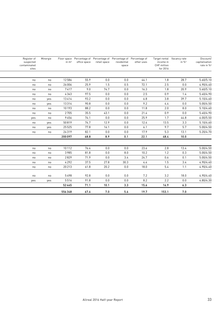| residential<br>space | Floor space Percentage of Percentage of Percentage of Percentage of<br>office space retail space |      | in m <sup>2</sup> | Minergie | Register of<br>suspected<br>contaminated<br>sites |  |
|----------------------|--------------------------------------------------------------------------------------------------|------|-------------------|----------|---------------------------------------------------|--|
| 0.0                  | 0.0                                                                                              | 55.9 | 12586             | no       | no                                                |  |
| 0.5                  | 1.5                                                                                              | 25.9 | 26006             | no       | no                                                |  |
| 0.0                  | 74.7                                                                                             | 9.0  | 7417              | no       | no                                                |  |
| 0.0                  | 0.0                                                                                              | 97.5 | 4343              | no       | no                                                |  |
| 0.0                  | 0.0                                                                                              | 93.2 | 13414             | yes      | no                                                |  |
| 0.0                  | 0.0                                                                                              | 90.8 | 13314             | yes      | no                                                |  |
| 0.0                  | 0.0                                                                                              | 88.2 | 10193             | no       | no                                                |  |
| 0.0                  | 43.1                                                                                             | 35.5 | 2705              | no       | no                                                |  |
| 0.0                  | 0.0                                                                                              | 74.1 | 9456              | no       | yes                                               |  |
| 0.0                  | 12.9                                                                                             | 74.7 | 50819             | yes      | no                                                |  |
| 0.0                  | 16.1                                                                                             | 77.8 | 25525             | yes      | no                                                |  |
| 0.0                  | 0.0                                                                                              | 82.1 | 24319             | no       | no                                                |  |
| 0.1                  | 8.9                                                                                              | 68.8 | 200097            |          |                                                   |  |
|                      |                                                                                                  |      |                   |          |                                                   |  |
| 0.0                  | 0.0                                                                                              | 76.4 | 10112             | no       | no                                                |  |
| 8.0                  | 0.0                                                                                              | 81.8 | 3985              | no       | no                                                |  |
| 3.4                  | 0.0                                                                                              | 71.9 | 2829              | no       | no                                                |  |
| 30.3                 | 27.8                                                                                             | 37.5 | 4292              | no       | no                                                |  |
| 0.0                  | 20.2                                                                                             | 61.8 | 20213             | no       | no                                                |  |
| 0.0                  | 0.0                                                                                              | 92.8 | 5498              | no       | no                                                |  |
| 0.0                  | 0.0                                                                                              | 91.8 | 5516              | yes      | yes                                               |  |
| 3.3                  | 10.1                                                                                             | 71.1 | 52445             |          |                                                   |  |
| 5.6                  | 7.0                                                                                              | 67.6 | 556348            |          |                                                   |  |
|                      |                                                                                                  |      |                   |          |                                                   |  |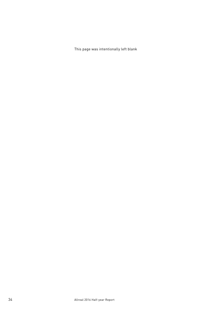This page was intentionally left blank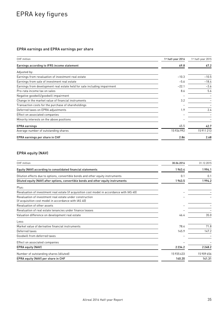# EPRA key figures

# EPRA earnings and EPRA earnings per share

| CHF million                                                              | 1st half-year 2016 | 1st half-year 2015 |
|--------------------------------------------------------------------------|--------------------|--------------------|
| Earnings according to IFRS income statement                              | 69.8               | 67.2               |
| Adjusted by:                                                             |                    |                    |
| Earnings from revaluation of investment real estate                      | $-10.3$            | $-10.5$            |
| Earnings from sale of investment real estate                             | $-5.6$             | $-18.4$            |
| Earnings from development real estate held for sale including impairment | $-22.1$            | $-3.6$             |
| Pro-rata income tax on sales                                             | 8.6                | 5.6                |
| Negative goodwill/goodwill impairment                                    |                    |                    |
| Change in the market value of financial instruments                      | 3.2                |                    |
| Transaction costs for the purchase of shareholdings                      |                    |                    |
| Deferred taxes on EPRA adjustments                                       | 1.9                | 2.4                |
| Effect on associated companies                                           |                    |                    |
| Minority interests on the above positions                                |                    |                    |
| <b>EPRA</b> earnings                                                     | 45.5               | 42.7               |
| Average number of outstanding shares                                     | 15934992           | 15911213           |
| EPRA earnings per share in CHF                                           | 2.86               | 2.68               |

# EPRA equity (NAV)

| CHF million                                                                                                       | 30.06.2016  | 31.12.2015  |
|-------------------------------------------------------------------------------------------------------------------|-------------|-------------|
| Equity (NAV) according to consolidated financial statements                                                       | 1963.4      | 1994.1      |
| Dilution effects due to options, convertible bonds and other equity instruments                                   | 0.1         | 0.1         |
| Diluted equity (NAV) after options, convertible bonds and other equity instruments                                | 1963.5      | 1994.2      |
| Plus:                                                                                                             |             |             |
| Revaluation of investment real estate (if acquisition cost model in accordance with IAS 40)                       |             |             |
| Revaluation of investment real estate under construction<br>(if acquisition cost model in accordance with IAS 40) |             |             |
| Revaluation of other assets                                                                                       |             |             |
| Revaluation of real estate tenancies under finance leases                                                         |             |             |
| Valuation difference on development real estate                                                                   | 46.4        | 35.0        |
| Less:                                                                                                             |             |             |
| Market value of derivative financial instruments                                                                  | 78.4        | 71.8        |
| Deferred taxes                                                                                                    | 145.9       | 147.2       |
| Goodwill from deferred taxes                                                                                      |             |             |
| Effect on associated companies                                                                                    |             |             |
| <b>EPRA equity (NAV)</b>                                                                                          | 2 2 3 4 . 2 | 2 2 4 8 . 2 |
| Number of outstanding shares (diluted)                                                                            | 15 935 433  | 15 909 656  |
| EPRA equity (NAV) per share in CHF                                                                                | 140.20      | 141.31      |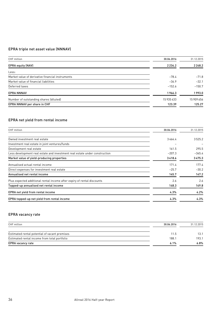# EPRA triple net asset value (NNNAV)

| CHF million                                      | 30.06.2016  | 31.12.2015  |
|--------------------------------------------------|-------------|-------------|
| <b>EPRA equity (NAV)</b>                         | 2 2 3 4 . 2 | 2 2 4 8 . 2 |
| Less:                                            |             |             |
| Market value of derivative financial instruments | $-78.4$     | $-71.8$     |
| Market value of financial liabilities            | $-36.9$     | $-32.1$     |
| Deferred taxes                                   | $-152.6$    | $-150.7$    |
| <b>EPRA NNNAV</b>                                | 1966.3      | 1993.0      |
| Number of outstanding shares (diluted)           | 15935433    | 15 909 656  |
| EPRA NNNAV per share in CHF                      | 123.39      | 125.27      |

# EPRA net yield from rental income

| CHF million                                                                | 30.06.2016 | 31.12.2015 |
|----------------------------------------------------------------------------|------------|------------|
|                                                                            |            |            |
| Owned investment real estate                                               | 3464.4     | 3525.2     |
| Investment real estate in joint ventures/funds                             |            |            |
| Development real estate                                                    | 161.5      | 295.5      |
| Less development real estate and investment real estate under construction | $-207.3$   | $-345.4$   |
| Market value of yield-producing properties                                 | 3418.6     | 3475.3     |
| Annualised actual rental income                                            | 171.4      | 177.4      |
| Direct expenses for investment real estate                                 | $-25.7$    | $-30.2$    |
| Annualised net rental income                                               | 145.7      | 147.2      |
| Plus expected additional rental income after expiry of rental discounts    | 2.6        | 2.6        |
| Topped-up annualised net rental income                                     | 148.3      | 149.8      |
| EPRA net yield from rental income                                          | 4.3%       | 4.2%       |
| EPRA topped-up net yield from rental income                                | 4.3%       | 4.3%       |

# EPRA vacancy rate

| CHF million                                   | 30.06.2016 | 31.12.2015 |
|-----------------------------------------------|------------|------------|
| Estimated rental potential of vacant premises | 11.5       | 13.1       |
| Estimated rental income from total portfolio  | 188.1      | 1931       |
| EPRA vacancy rate                             | 6.1%       | 6.8%       |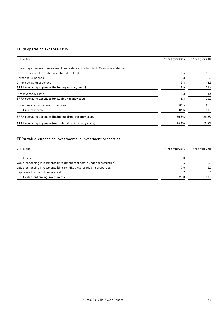# EPRA operating expense ratio

| CHF million                                                                      | 1st half-year 2016 | 1st half-year 2015 |
|----------------------------------------------------------------------------------|--------------------|--------------------|
| Operating expenses of investment real estate according to IFRS income statement: |                    |                    |
| Direct expenses for rented investment real estate                                | 11.5               | 15.9               |
| Personnel expenses                                                               | 2.3                | 2.0                |
| Other operating expenses                                                         | 3.8                | 3.5                |
| EPRA operating expenses (including vacancy costs)                                | 17.6               | 21.4               |
| Direct vacancy costs                                                             | 1.3                | 1.4                |
| EPRA operating expenses (excluding vacancy costs)                                | 16.3               | 20.0               |
| Gross rental income less ground rent                                             | 86.5               | 88.5               |
| <b>EPRA</b> rental income                                                        | 86.5               | 88.5               |
| EPRA operating expenses (including direct vacancy costs)                         | 20.3%              | 24.2%              |
| EPRA operating expenses (excluding direct vacancy costs)                         | 18.8%              | 22.6%              |

# EPRA value-enhancing investments in investment properties

| CHF million                                                             | 1st half-year 2016 | 1st half-year 2015 |
|-------------------------------------------------------------------------|--------------------|--------------------|
| Purchases                                                               | 0.0                | n n                |
| Value-enhancing investments (investment real estate under construction) | 13.6               | 6.0                |
| Value-enhancing investments (like-for-like yield-producing properties)  | 7.0                | 12.7               |
| Capitalised building loan interest                                      | 0.2                | 0.1                |
| <b>EPRA</b> value-enhancing investments                                 | 20.8               | 18.8               |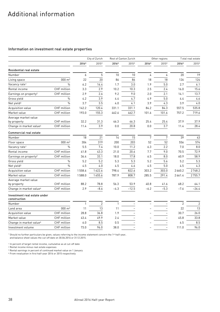# Additional information

#### Information on investment real estate properties

|                                              |                     |              | City of Zurich | Rest of Canton Zurich |         |        | Other regions  |                | T otal real estate |
|----------------------------------------------|---------------------|--------------|----------------|-----------------------|---------|--------|----------------|----------------|--------------------|
|                                              |                     | 2016*        | 2015*          | 2016*                 | 2015*   | 2016*  | 2015*          | 2016*          | 2015*              |
| Residential real estate                      |                     |              |                |                       |         |        |                |                |                    |
| Number                                       |                     | 6            | 5              | 10                    | 10      | 4      | 4              | 20             | 19                 |
| Living space                                 | $000 \; \text{m}^2$ | 22           | 20             | 86                    | 86      | 18     | 18             | 126            | 124                |
| Vacancy rate <sup>1</sup>                    | $\%$                | 6.2          | 16.4           | 1.7                   | 3.0     | 1.9    | 5.0            | 2.7            | 6.1                |
| Rental income                                | CHF million         | 3.3          | 2.9            | 10.2                  | 10.3    | 2.5    | 2.4            | 16.0           | 15.6               |
| Earnings on property <sup>2</sup>            | CHF million         | 2.9          | 2.6            | 9.2                   | 9.0     | 2.0    | 2.1            | 14.1           | 13.7               |
| Gross yield                                  | $\%$                | 4.2          | 3.9            | 4.4                   | 4.7     | 4.9    | 5.0            | 4.4            | 4.6                |
| Net yield <sup>3</sup>                       | $\%$                | 3.7          | 3.5            | 4.0                   | 4.1     | 3.9    | 4.3            | 3.9            | 4.0                |
| Acquisition value                            | CHF million         | 142.2        | 120.4          | 331.1                 | 331.1   | 84.2   | 84.3           | 557.5          | 535.8              |
| Market value                                 | CHF million         | 193.0        | 155.3          | 462.6                 | 462.7   | 101.6  | 101.6          | 757.2          | 719.6              |
| Average market value                         |                     |              |                |                       |         |        |                |                |                    |
| by property                                  | CHF million         | 32.2         | 31.3           | 46.3                  | 46.3    | 25.4   | 25.4           | 37.9           | 37.9               |
| Change in market value <sup>4</sup>          | CHF million         | 11.4         | 3.9            | 0.0                   | 20.8    | 0.0    | 3.7            | 11.4           | 28.4               |
| <b>Commercial real estate</b>                |                     |              |                |                       |         |        |                |                |                    |
| Number                                       |                     | 18           | 21             | 14                    | 15      | 7      | $\overline{7}$ | 39             | 43                 |
| Floor space                                  | $000 \; \text{m}^2$ | 304          | 319            | 200                   | 203     | 52     | 52             | 556            | 574                |
| Vacancy rate <sup>1</sup>                    | $\%$                | 5.5          | 7.4            | 10.0                  | 11.2    | 6.3    | 2.2            | 7.0            | 8.0                |
| Rental income                                | CHF million         | 41.8         | 43.3           | 21.0                  | 20.6    | 7.7    | 9.0            | 70.5           | 72.9               |
| Earnings on property <sup>2</sup>            | CHF million         | 36.4         | 33.1           | 18.0                  | 17.8    | 6.5    | 8.0            | 60.9           | 58.9               |
| Gross yield                                  | $\%$                | 5.2          | 5.2            | 5.3                   | 5.3     | 5.2    | 5.6            | 5.2            | 5.3                |
| Net yield <sup>3</sup>                       | $\frac{0}{0}$       | 4.5          | 4.0            | 4.5                   | 4.6     | 4.5    | 5.0            | 4.5            | 4.3                |
| Acquisition value                            | CHF million         | 1558.6       | 1622.6         | 798.4                 | 822.6   | 303.2  | 303.0          | 2660.2         | 2748.2             |
| Market value                                 | CHF million         | 1588.0       | 1655.6         | 787.9                 | 808.7   | 285.5  | 291.4          | 2661.4         | 2755.7             |
| Average market value                         |                     |              |                |                       |         |        |                |                |                    |
| by property                                  | CHF million         | 88.2         | 78.8           | 56.3                  | 53.9    | 40.8   | 41.6           | 68.2           | 64.1               |
| Change in market value <sup>4</sup>          | CHF million         | 2.9          | $-8.6$         | $-4.3$                | $-12.5$ | $-6.2$ | $-5.3$         | $-7.6$         | $-26.4$            |
| Investment real estate under<br>construction |                     |              |                |                       |         |        |                |                |                    |
| Number                                       |                     | $\mathbf{1}$ | $\sqrt{2}$     | $\mathbf{1}$          |         |        |                | $\overline{2}$ | $\overline{2}$     |
| Land area                                    | $000 \; \text{m}^2$ | 11           | 13             | 11                    |         |        |                | 22             | 13                 |
| Acquisition value                            | CHF million         | 28.8         | 36.8           | 1.9                   |         |        |                | 30.7           | 26.0               |
| Market value                                 | CHF million         | 43.4         | 49.9           | 2.4                   |         |        |                | 45.8           | 33.8               |
| Change in market value <sup>4</sup>          | CHF million         | 6.0          | 8.5            | 0.5                   |         |        |                | 6.5            | 8.5                |
| Investment volume                            | CHF million         | 73.0         | 96.0           | 38.0                  |         |        |                | 111.0          | 96.0               |
|                                              |                     |              |                |                       |         |        |                |                |                    |

\* Should no further particulars be given, values referring to the income statement concern the 1st half-year, and balance sheet values the cut-off date on 30.06.2016 or 31.12.2015.

<sup>1</sup> In percent of target rental income, cumulative as at cut-off date

<sup>2</sup> Rental income minus real estate expenses

<sup>3</sup> Rental earnings in percent of continued market value on 1 January

<sup>4</sup> From revaluation in first half-year 2016 or 2015 respectively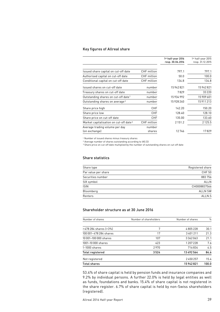#### Key figures of Allreal share

|                                                    |                  | 1st half-year 2016<br>resp. 30.06.2016 | 1st half-year 2015<br>resp. 31.12.2015 |
|----------------------------------------------------|------------------|----------------------------------------|----------------------------------------|
| Issued share capital on cut-off date               | CHF million      | 797.1                                  | 797.1                                  |
| Authorised capital on cut-off date                 | CHF million      | 50.0                                   | 100.0                                  |
| Conditional capital on cut-off date                | CHF million      | 134.8                                  | 134.8                                  |
| Issued shares on cut-off date                      | number           | 15942821                               | 15942821                               |
| Treasury shares on cut-off date                    | number           | 7829                                   | 33 2 2 0                               |
| Outstanding shares on cut-off date <sup>1</sup>    | number           | 15934992                               | 15 909 601                             |
| Outstanding shares on average <sup>2</sup>         | number           | 15928240                               | 15 911 213                             |
| Share price high                                   | <b>CHF</b>       | 142.20                                 | 150.20                                 |
| Share price low                                    | <b>CHF</b>       | 128.40                                 | 128.10                                 |
| Share price on cut-off date                        | <b>CHF</b>       | 135.00                                 | 133.60                                 |
| Market capitalisation on cut-off date <sup>3</sup> | CHF million      | 2 1 5 1 . 2                            | 2 1 2 5 . 5                            |
| Average trading volume per day<br>(on exchange)    | number<br>shares | 12746                                  | 17829                                  |
|                                                    |                  |                                        |                                        |

<sup>1</sup> Number of issued shares minus treasury shares

<sup>2</sup> Average number of shares outstanding according to IAS 33

<sup>3</sup> Share price on cut-off date multiplied by the number of outstanding shares on cut-off date

#### Share statistics

| Share type          | Registered share |
|---------------------|------------------|
| Par value per share | <b>CHF 50</b>    |
| Securities number   | 883 756          |
| SIX symbol          | ALLN             |
| <b>ISIN</b>         | CH0008837566     |
| Bloomberg           | <b>ALLN SW</b>   |
| Renters             | ALLN.S           |
|                     |                  |

# Shareholder structure as at 30 June 2016

| Number of shares        | Number of shareholders | Number of shares | $\%$  |  |
|-------------------------|------------------------|------------------|-------|--|
|                         |                        |                  |       |  |
| >478 284 shares (>3%)   | 7                      | 4805228          | 30.1  |  |
| 100 001-478 284 shares  | 17                     | 3401211          | 21.3  |  |
| 10 001-100 000 shares   | 107                    | 3362063          | 21.1  |  |
| 1001-10 000 shares      | 423                    | 1207228          | 7.6   |  |
| $1-1000$ shares         | 2970                   | 716834           | 4.5   |  |
| <b>Total registered</b> | 3524                   | 13492564         | 84.6  |  |
| Not registered          |                        | 2450257          | 15.4  |  |
| <b>Total shares</b>     |                        | 15942821         | 100.0 |  |

53.4% of share capital is held by pension funds and insurance companies and 9.2% by individual persons. A further 22.0% is held by legal entities as well as funds, foundations and banks. 15.4% of share capital is not registered in the share register. 6.7% of share capital is held by non-Swiss shareholders (registered).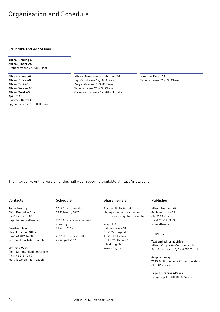# Organisation and Schedule

#### Structure and Addresses

Allreal Holding AG Allreal Finanz AG Grabenstrasse 25, 6340 Baar

### Allreal Home AG

Allreal Office AG Allreal Toni AG Allreal Vulkan AG Allreal West AG Apalux AG Hammer Retex AG Eggbühlstrasse 15, 8050 Zurich

#### Allreal Generalunternehmung AG Eggbühlstrasse 15, 8050 Zurich

Zieglerstrasse 53, 3007 Bern Sinserstrasse 67, 6330 Cham Gaiserwaldstrasse 14, 9015 St. Gallen Hammer Retex AG Sinserstrasse 67, 6330 Cham

The interactive online version of this half-year report is available at http://ir.allreal.ch.

#### Contacts

#### Roger Herzog

Chief Executive Officer T +41 44 319 12 04 roger.herzog@allreal.ch

#### Bernhard Marti

Chief Financial Officer T +41 44 319 14 88 bernhard.marti@allreal.ch

#### Matthias Meier

Chief Communications Officer T +41 44 319 12 67 matthias.meier@allreal.ch

### Schedule

2016 Annual results 28 February 2017

2017 Annual shareholders' meeting 21 April 2017

2017 Half-year results 29 August 2017

#### Share register

Responsibility for address changes and other changes in the share register lies with:

areg.ch AG Fabrikstrasse 10 CH-4614 Hägendorf T +41 62 209 16 60 F +41 62 209 16 69 info@areg.ch www.areg.ch

#### Publisher

Allreal Holding AG Grabenstrasse 25 CH-6340 Baar T +41 41 711 33 03 www.allreal.ch

#### Imprint

Text and editorial office Allreal Corporate Communications Eggbühlstrasse 15, CH-8050 Zurich

#### Graphic design

WBG AG für visuelle Kommunikation CH-8045 Zurich

Layout/Prepress/Press Linkgroup AG, CH-8008 Zurich